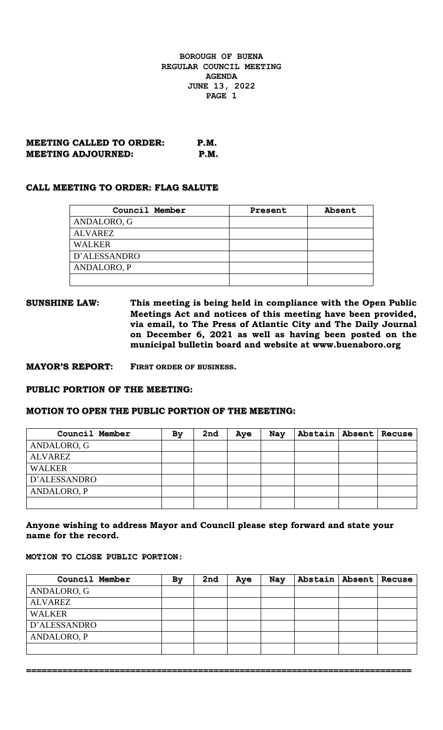**MEETING CALLED TO ORDER: P.M. MEETING ADJOURNED: P.M.**

#### **CALL MEETING TO ORDER: FLAG SALUTE**

| Council Member     | Present | Absent |
|--------------------|---------|--------|
| ANDALORO, G        |         |        |
| <b>ALVAREZ</b>     |         |        |
| <b>WALKER</b>      |         |        |
| D'ALESSANDRO       |         |        |
| <b>ANDALORO, P</b> |         |        |
|                    |         |        |

**SUNSHINE LAW: This meeting is being held in compliance with the Open Public Meetings Act and notices of this meeting have been provided, via email, to The Press of Atlantic City and The Daily Journal on December 6, 2021 as well as having been posted on the municipal bulletin board and website at www.buenaboro.org**

**MAYOR'S REPORT: FIRST ORDER OF BUSINESS.**

#### **PUBLIC PORTION OF THE MEETING:**

#### **MOTION TO OPEN THE PUBLIC PORTION OF THE MEETING:**

| Council Member | By | 2nd | Aye | Nay | Abstain   Absent   Recuse |  |
|----------------|----|-----|-----|-----|---------------------------|--|
| ANDALORO, G    |    |     |     |     |                           |  |
| <b>ALVAREZ</b> |    |     |     |     |                           |  |
| <b>WALKER</b>  |    |     |     |     |                           |  |
| D'ALESSANDRO   |    |     |     |     |                           |  |
| ANDALORO, P    |    |     |     |     |                           |  |
|                |    |     |     |     |                           |  |

## **Anyone wishing to address Mayor and Council please step forward and state your name for the record.**

## **MOTION TO CLOSE PUBLIC PORTION:**

| Council Member | By | 2nd | Aye | Nay | Abstain   Absent   Recuse |  |
|----------------|----|-----|-----|-----|---------------------------|--|
| ANDALORO, G    |    |     |     |     |                           |  |
| <b>ALVAREZ</b> |    |     |     |     |                           |  |
| <b>WALKER</b>  |    |     |     |     |                           |  |
| D'ALESSANDRO   |    |     |     |     |                           |  |
| ANDALORO, P    |    |     |     |     |                           |  |
|                |    |     |     |     |                           |  |

**==========================================================================**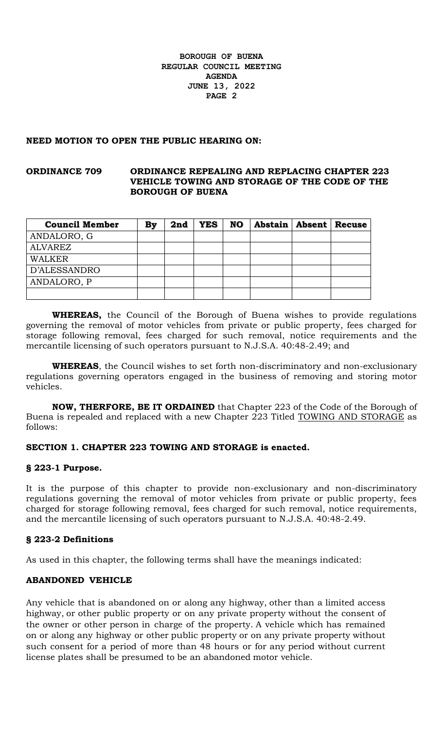#### **NEED MOTION TO OPEN THE PUBLIC HEARING ON:**

## **ORDINANCE 709 ORDINANCE REPEALING AND REPLACING CHAPTER 223 VEHICLE TOWING AND STORAGE OF THE CODE OF THE BOROUGH OF BUENA**

| <b>Council Member</b> | By | 2nd | <b>YES</b> | <b>NO</b> | Abstain   Absent   Recuse |  |
|-----------------------|----|-----|------------|-----------|---------------------------|--|
| ANDALORO, G           |    |     |            |           |                           |  |
| ALVAREZ               |    |     |            |           |                           |  |
| <b>WALKER</b>         |    |     |            |           |                           |  |
| D'ALESSANDRO          |    |     |            |           |                           |  |
| ANDALORO, P           |    |     |            |           |                           |  |
|                       |    |     |            |           |                           |  |

**WHEREAS,** the Council of the Borough of Buena wishes to provide regulations governing the removal of motor vehicles from private or public property, fees charged for storage following removal, fees charged for such removal, notice requirements and the mercantile licensing of such operators pursuant to N.J.S.A. 40:48-2.49; and

**WHEREAS**, the Council wishes to set forth non-discriminatory and non-exclusionary regulations governing operators engaged in the business of removing and storing motor vehicles.

**NOW, THERFORE, BE IT ORDAINED** that Chapter 223 of the Code of the Borough of Buena is repealed and replaced with a new Chapter 223 Titled TOWING AND STORAGE as follows:

## **SECTION 1. CHAPTER 223 TOWING AND STORAGE is enacted.**

#### **§ 223-1 Purpose.**

It is the purpose of this chapter to provide non-exclusionary and non-discriminatory regulations governing the removal of motor vehicles from private or public property, fees charged for storage following removal, fees charged for such removal, notice requirements, and the mercantile licensing of such operators pursuant to N.J.S.A. 40:48-2.49.

## **§ 223-2 Definitions**

As used in this chapter, the following terms shall have the meanings indicated:

## **ABANDONED VEHICLE**

Any vehicle that is abandoned on or along any highway, other than a limited access highway, or other public property or on any private property without the consent of the owner or other person in charge of the property. A vehicle which has remained on or along any highway or other public property or on any private property without such consent for a period of more than 48 hours or for any period without current license plates shall be presumed to be an abandoned motor vehicle.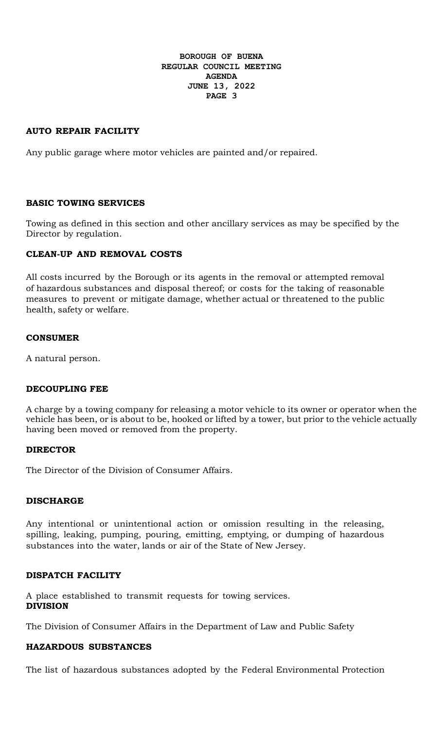# **AUTO REPAIR FACILITY**

Any public garage where motor vehicles are painted and/or repaired.

## **BASIC TOWING SERVICES**

Towing as defined in this section and other ancillary services as may be specified by the Director by regulation.

## **CLEAN-UP AND REMOVAL COSTS**

All costs incurred by the Borough or its agents in the removal or attempted removal of hazardous substances and disposal thereof; or costs for the taking of reasonable measures to prevent or mitigate damage, whether actual or threatened to the public health, safety or welfare.

#### **CONSUMER**

A natural person.

## **DECOUPLING FEE**

A charge by a towing company for releasing a motor vehicle to its owner or operator when the vehicle has been, or is about to be, hooked or lifted by a tower, but prior to the vehicle actually having been moved or removed from the property.

## **DIRECTOR**

The Director of the Division of Consumer Affairs.

#### **DISCHARGE**

Any intentional or unintentional action or omission resulting in the releasing, spilling, leaking, pumping, pouring, emitting, emptying, or dumping of hazardous substances into the water, lands or air of the State of New Jersey.

## **DISPATCH FACILITY**

A place established to transmit requests for towing services. **DIVISION**

The Division of Consumer Affairs in the Department of Law and Public Safety

## **HAZARDOUS SUBSTANCES**

The list of hazardous substances adopted by the Federal Environmental Protection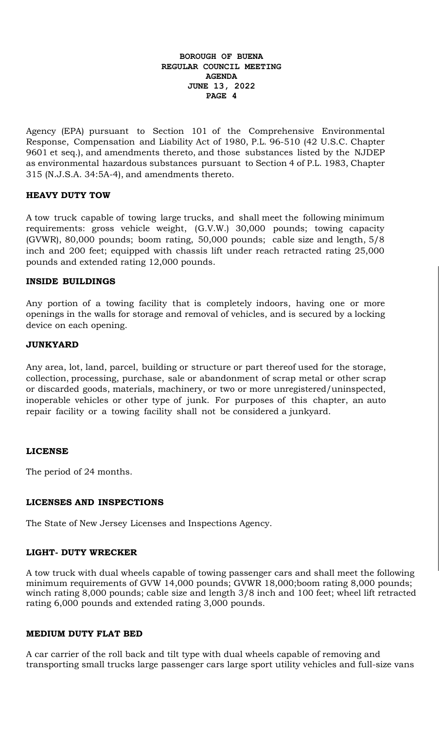Agency (EPA) pursuant to Section 101 of the Comprehensive Environmental Response, Compensation and Liability Act of 1980, P.L. 96-510 (42 U.S.C. Chapter 9601 et seq.), and amendments thereto, and those substances listed by the NJDEP as environmental hazardous substances pursuant to Section 4 of P.L. 1983, Chapter 315 (N.J.S.A. 34:5A-4), and amendments thereto.

# **HEAVY DUTY TOW**

A tow truck capable of towing large trucks, and shall meet the following minimum requirements: gross vehicle weight, (G.V.W.) 30,000 pounds; towing capacity (GVWR), 80,000 pounds; boom rating, 50,000 pounds; cable size and length, 5/8 inch and 200 feet; equipped with chassis lift under reach retracted rating 25,000 pounds and extended rating 12,000 pounds.

## **INSIDE BUILDINGS**

Any portion of a towing facility that is completely indoors, having one or more openings in the walls for storage and removal of vehicles, and is secured by a locking device on each opening.

## **JUNKYARD**

Any area, lot, land, parcel, building or structure or part thereof used for the storage, collection, processing, purchase, sale or abandonment of scrap metal or other scrap or discarded goods, materials, machinery, or two or more unregistered/uninspected, inoperable vehicles or other type of junk. For purposes of this chapter, an auto repair facility or a towing facility shall not be considered a junkyard.

## **LICENSE**

The period of 24 months.

## **LICENSES AND INSPECTIONS**

The State of New Jersey Licenses and Inspections Agency.

#### **LIGHT- DUTY WRECKER**

A tow truck with dual wheels capable of towing passenger cars and shall meet the following minimum requirements of GVW 14,000 pounds; GVWR 18,000;boom rating 8,000 pounds; winch rating 8,000 pounds; cable size and length 3/8 inch and 100 feet; wheel lift retracted rating 6,000 pounds and extended rating 3,000 pounds.

#### **MEDIUM DUTY FLAT BED**

A car carrier of the roll back and tilt type with dual wheels capable of removing and transporting small trucks large passenger cars large sport utility vehicles and full-size vans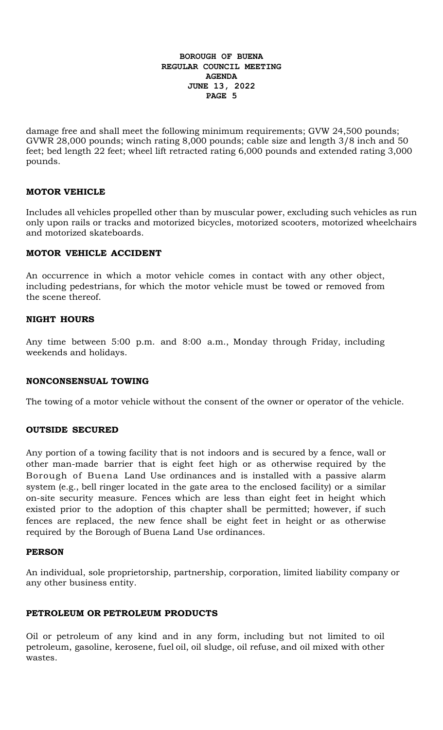damage free and shall meet the following minimum requirements; GVW 24,500 pounds; GVWR 28,000 pounds; winch rating 8,000 pounds; cable size and length 3/8 inch and 50 feet; bed length 22 feet; wheel lift retracted rating 6,000 pounds and extended rating 3,000 pounds.

## **MOTOR VEHICLE**

Includes all vehicles propelled other than by muscular power, excluding such vehicles as run only upon rails or tracks and motorized bicycles, motorized scooters, motorized wheelchairs and motorized skateboards.

# **MOTOR VEHICLE ACCIDENT**

An occurrence in which a motor vehicle comes in contact with any other object, including pedestrians, for which the motor vehicle must be towed or removed from the scene thereof.

## **NIGHT HOURS**

Any time between 5:00 p.m. and 8:00 a.m., Monday through Friday, including weekends and holidays.

## **NONCONSENSUAL TOWING**

The towing of a motor vehicle without the consent of the owner or operator of the vehicle.

## **OUTSIDE SECURED**

Any portion of a towing facility that is not indoors and is secured by a fence, wall or other man-made barrier that is eight feet high or as otherwise required by the Borough of Buena Land Use ordinances and is installed with a passive alarm system (e.g., bell ringer located in the gate area to the enclosed facility) or a similar on-site security measure. Fences which are less than eight feet in height which existed prior to the adoption of this chapter shall be permitted; however, if such fences are replaced, the new fence shall be eight feet in height or as otherwise required by the Borough of Buena Land Use ordinances.

## **PERSON**

An individual, sole proprietorship, partnership, corporation, limited liability company or any other business entity.

# **PETROLEUM OR PETROLEUM PRODUCTS**

Oil or petroleum of any kind and in any form, including but not limited to oil petroleum, gasoline, kerosene, fuel oil, oil sludge, oil refuse, and oil mixed with other wastes.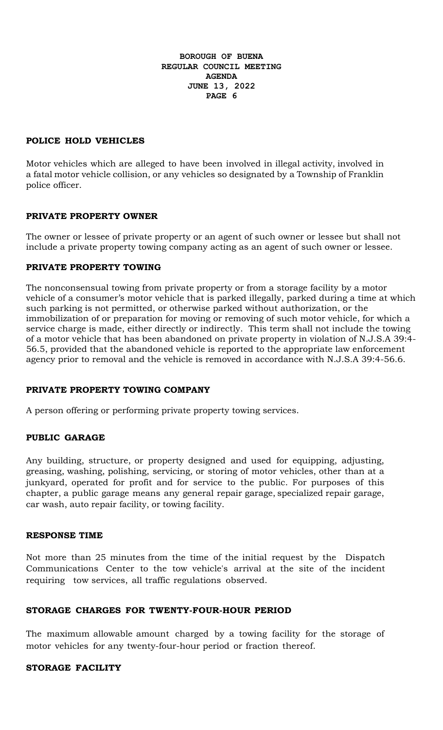## **POLICE HOLD VEHICLES**

Motor vehicles which are alleged to have been involved in illegal activity, involved in a fatal motor vehicle collision, or any vehicles so designated by a Township of Franklin police officer.

## **PRIVATE PROPERTY OWNER**

The owner or lessee of private property or an agent of such owner or lessee but shall not include a private property towing company acting as an agent of such owner or lessee.

# **PRIVATE PROPERTY TOWING**

The nonconsensual towing from private property or from a storage facility by a motor vehicle of a consumer's motor vehicle that is parked illegally, parked during a time at which such parking is not permitted, or otherwise parked without authorization, or the immobilization of or preparation for moving or removing of such motor vehicle, for which a service charge is made, either directly or indirectly. This term shall not include the towing of a motor vehicle that has been abandoned on private property in violation of N.J.S.A 39:4- 56.5, provided that the abandoned vehicle is reported to the appropriate law enforcement agency prior to removal and the vehicle is removed in accordance with N.J.S.A 39:4-56.6.

## **PRIVATE PROPERTY TOWING COMPANY**

A person offering or performing private property towing services.

## **PUBLIC GARAGE**

Any building, structure, or property designed and used for equipping, adjusting, greasing, washing, polishing, servicing, or storing of motor vehicles, other than at a junkyard, operated for profit and for service to the public. For purposes of this chapter, a public garage means any general repair garage, specialized repair garage, car wash, auto repair facility, or towing facility.

## **RESPONSE TIME**

Not more than 25 minutes from the time of the initial request by the Dispatch Communications Center to the tow vehicle's arrival at the site of the incident requiring tow services, all traffic regulations observed.

## **STORAGE CHARGES FOR TWENTY-FOUR-HOUR PERIOD**

The maximum allowable amount charged by a towing facility for the storage of motor vehicles for any twenty-four-hour period or fraction thereof.

# **STORAGE FACILITY**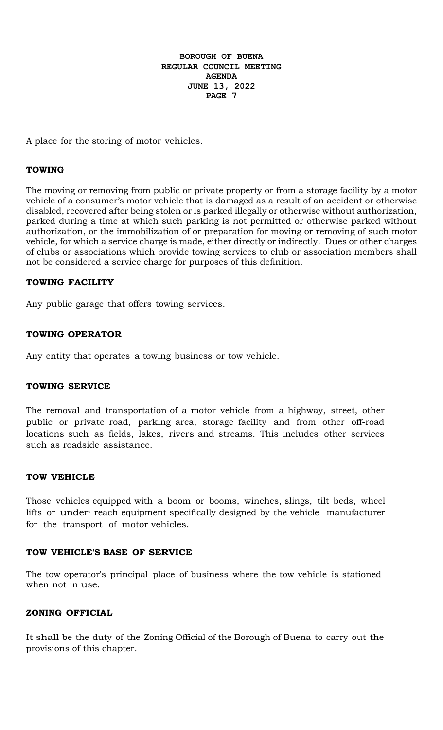A place for the storing of motor vehicles.

## **TOWING**

The moving or removing from public or private property or from a storage facility by a motor vehicle of a consumer's motor vehicle that is damaged as a result of an accident or otherwise disabled, recovered after being stolen or is parked illegally or otherwise without authorization, parked during a time at which such parking is not permitted or otherwise parked without authorization, or the immobilization of or preparation for moving or removing of such motor vehicle, for which a service charge is made, either directly or indirectly. Dues or other charges of clubs or associations which provide towing services to club or association members shall not be considered a service charge for purposes of this definition.

## **TOWING FACILITY**

Any public garage that offers towing services.

# **TOWING OPERATOR**

Any entity that operates a towing business or tow vehicle.

## **TOWING SERVICE**

The removal and transportation of a motor vehicle from a highway, street, other public or private road, parking area, storage facility and from other off-road locations such as fields, lakes, rivers and streams. This includes other services such as roadside assistance.

## **TOW VEHICLE**

Those vehicles equipped with a boom or booms, winches, slings, tilt beds, wheel lifts or under· reach equipment specifically designed by the vehicle manufacturer for the transport of motor vehicles.

## **TOW VEHICLE'S BASE OF SERVICE**

The tow operator's principal place of business where the tow vehicle is stationed when not in use.

## **ZONING OFFICIAL**

It shall be the duty of the Zoning Official of the Borough of Buena to carry out the provisions of this chapter.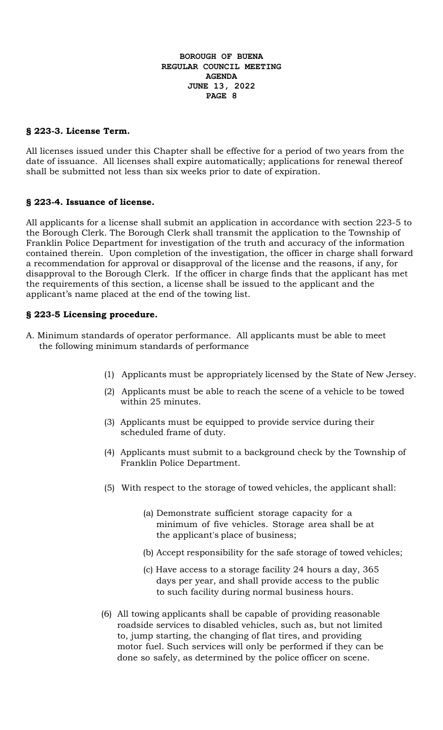# **§ 223-3. License Term.**

All licenses issued under this Chapter shall be effective for a period of two years from the date of issuance. All licenses shall expire automatically; applications for renewal thereof shall be submitted not less than six weeks prior to date of expiration.

## **§ 223-4. Issuance of license.**

All applicants for a license shall submit an application in accordance with section 223-5 to the Borough Clerk. The Borough Clerk shall transmit the application to the Township of Franklin Police Department for investigation of the truth and accuracy of the information contained therein. Upon completion of the investigation, the officer in charge shall forward a recommendation for approval or disapproval of the license and the reasons, if any, for disapproval to the Borough Clerk. If the officer in charge finds that the applicant has met the requirements of this section, a license shall be issued to the applicant and the applicant's name placed at the end of the towing list.

## **§ 223-5 Licensing procedure.**

- A. Minimum standards of operator performance. All applicants must be able to meet the following minimum standards of performance
	- (1) Applicants must be appropriately licensed by the State of New Jersey.
	- (2) Applicants must be able to reach the scene of a vehicle to be towed within 25 minutes.
	- (3) Applicants must be equipped to provide service during their scheduled frame of duty.
	- (4) Applicants must submit to a background check by the Township of Franklin Police Department.
	- (5) With respect to the storage of towed vehicles, the applicant shall:
		- (a) Demonstrate sufficient storage capacity for a minimum of five vehicles. Storage area shall be at the applicant's place of business;
		- (b) Accept responsibility for the safe storage of towed vehicles;
		- (c) Have access to a storage facility 24 hours a day, 365 days per year, and shall provide access to the public to such facility during normal business hours.
	- (6) All towing applicants shall be capable of providing reasonable roadside services to disabled vehicles, such as, but not limited to, jump starting, the changing of flat tires, and providing motor fuel. Such services will only be performed if they can be done so safely, as determined by the police officer on scene.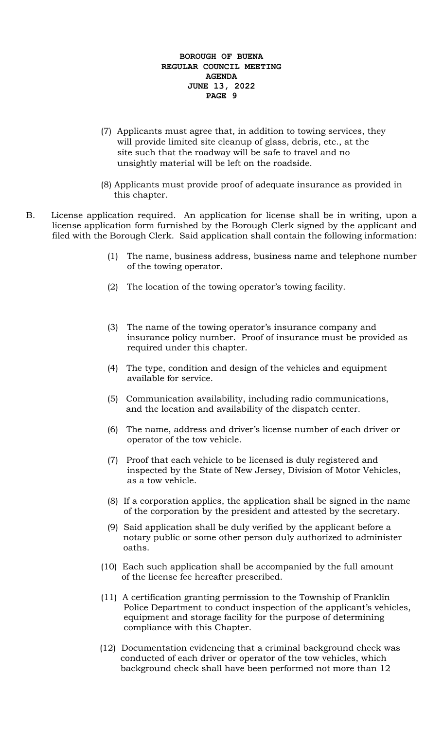- (7) Applicants must agree that, in addition to towing services, they will provide limited site cleanup of glass, debris, etc., at the site such that the roadway will be safe to travel and no unsightly material will be left on the roadside.
- (8) Applicants must provide proof of adequate insurance as provided in this chapter.
- B. License application required. An application for license shall be in writing, upon a license application form furnished by the Borough Clerk signed by the applicant and filed with the Borough Clerk. Said application shall contain the following information:
	- (1) The name, business address, business name and telephone number of the towing operator.
	- (2) The location of the towing operator's towing facility.
	- (3) The name of the towing operator's insurance company and insurance policy number. Proof of insurance must be provided as required under this chapter.
	- (4) The type, condition and design of the vehicles and equipment available for service.
	- (5) Communication availability, including radio communications, and the location and availability of the dispatch center.
	- (6) The name, address and driver's license number of each driver or operator of the tow vehicle.
	- (7) Proof that each vehicle to be licensed is duly registered and inspected by the State of New Jersey, Division of Motor Vehicles, as a tow vehicle.
	- (8) If a corporation applies, the application shall be signed in the name of the corporation by the president and attested by the secretary.
	- (9) Said application shall be duly verified by the applicant before a notary public or some other person duly authorized to administer oaths.
	- (10) Each such application shall be accompanied by the full amount of the license fee hereafter prescribed.
	- (11) A certification granting permission to the Township of Franklin Police Department to conduct inspection of the applicant's vehicles, equipment and storage facility for the purpose of determining compliance with this Chapter.
	- (12) Documentation evidencing that a criminal background check was conducted of each driver or operator of the tow vehicles, which background check shall have been performed not more than 12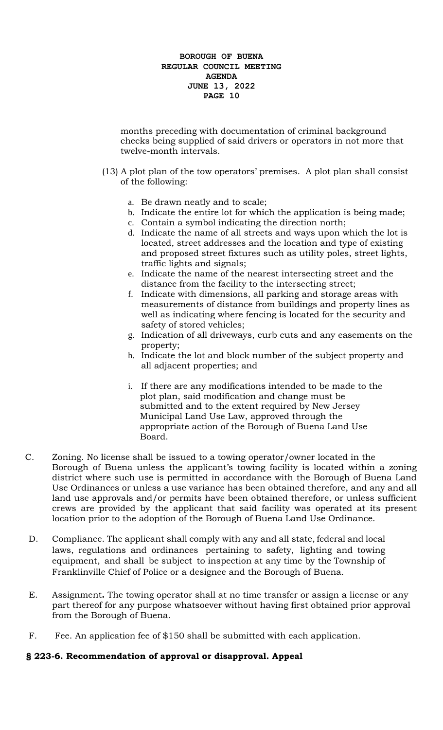months preceding with documentation of criminal background checks being supplied of said drivers or operators in not more that twelve-month intervals.

- (13) A plot plan of the tow operators' premises. A plot plan shall consist of the following:
	- a. Be drawn neatly and to scale;
	- b. Indicate the entire lot for which the application is being made;
	- c. Contain a symbol indicating the direction north;
	- d. Indicate the name of all streets and ways upon which the lot is located, street addresses and the location and type of existing and proposed street fixtures such as utility poles, street lights, traffic lights and signals;
	- e. Indicate the name of the nearest intersecting street and the distance from the facility to the intersecting street;
	- f. Indicate with dimensions, all parking and storage areas with measurements of distance from buildings and property lines as well as indicating where fencing is located for the security and safety of stored vehicles;
	- g. Indication of all driveways, curb cuts and any easements on the property;
	- h. Indicate the lot and block number of the subject property and all adjacent properties; and
	- i. If there are any modifications intended to be made to the plot plan, said modification and change must be submitted and to the extent required by New Jersey Municipal Land Use Law, approved through the appropriate action of the Borough of Buena Land Use Board.
- C. Zoning. No license shall be issued to a towing operator/owner located in the Borough of Buena unless the applicant's towing facility is located within a zoning district where such use is permitted in accordance with the Borough of Buena Land Use Ordinances or unless a use variance has been obtained therefore, and any and all land use approvals and/or permits have been obtained therefore, or unless sufficient crews are provided by the applicant that said facility was operated at its present location prior to the adoption of the Borough of Buena Land Use Ordinance.
- D. Compliance. The applicant shall comply with any and all state, federal and local laws, regulations and ordinances pertaining to safety, lighting and towing equipment, and shall be subject to inspection at any time by the Township of Franklinville Chief of Police or a designee and the Borough of Buena.
- E. Assignment**.** The towing operator shall at no time transfer or assign a license or any part thereof for any purpose whatsoever without having first obtained prior approval from the Borough of Buena.
- F. Fee. An application fee of \$150 shall be submitted with each application.

# **§ 223-6. Recommendation of approval or disapproval. Appeal**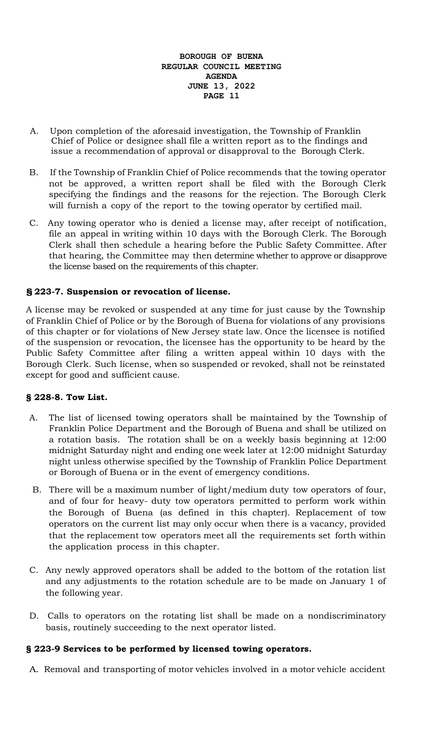- A. Upon completion of the aforesaid investigation, the Township of Franklin Chief of Police or designee shall file a written report as to the findings and issue a recommendation of approval or disapproval to the Borough Clerk.
- B. If the Township of Franklin Chief of Police recommends that the towing operator not be approved, a written report shall be filed with the Borough Clerk specifying the findings and the reasons for the rejection. The Borough Clerk will furnish a copy of the report to the towing operator by certified mail.
- C. Any towing operator who is denied a license may, after receipt of notification, file an appeal in writing within 10 days with the Borough Clerk. The Borough Clerk shall then schedule a hearing before the Public Safety Committee. After that hearing, the Committee may then determine whether to approve or disapprove the license based on the requirements of this chapter.

# **§ 223-7. Suspension or revocation of license.**

A license may be revoked or suspended at any time for just cause by the Township of Franklin Chief of Police or by the Borough of Buena for violations of any provisions of this chapter or for violations of New Jersey state law. Once the licensee is notified of the suspension or revocation, the licensee has the opportunity to be heard by the Public Safety Committee after filing a written appeal within 10 days with the Borough Clerk. Such license, when so suspended or revoked, shall not be reinstated except for good and sufficient cause.

# **§ 228-8. Tow List.**

- A. The list of licensed towing operators shall be maintained by the Township of Franklin Police Department and the Borough of Buena and shall be utilized on a rotation basis. The rotation shall be on a weekly basis beginning at 12:00 midnight Saturday night and ending one week later at 12:00 midnight Saturday night unless otherwise specified by the Township of Franklin Police Department or Borough of Buena or in the event of emergency conditions.
- B. There will be a maximum number of light/medium duty tow operators of four, and of four for heavy- duty tow operators permitted to perform work within the Borough of Buena (as defined in this chapter). Replacement of tow operators on the current list may only occur when there is a vacancy, provided that the replacement tow operators meet all the requirements set forth within the application process in this chapter.
- C. Any newly approved operators shall be added to the bottom of the rotation list and any adjustments to the rotation schedule are to be made on January 1 of the following year.
- D. Calls to operators on the rotating list shall be made on a nondiscriminatory basis, routinely succeeding to the next operator listed.

# **§ 223-9 Services to be performed by licensed towing operators.**

A. Removal and transporting of motor vehicles involved in a motor vehicle accident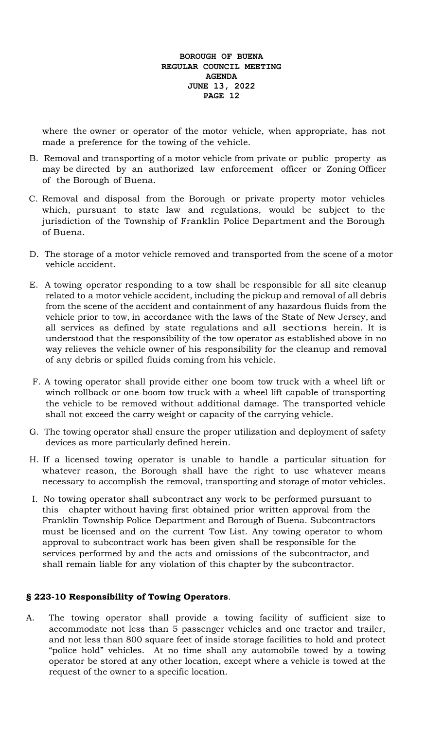where the owner or operator of the motor vehicle, when appropriate, has not made a preference for the towing of the vehicle.

- B. Removal and transporting of a motor vehicle from private or public property as may be directed by an authorized law enforcement officer or Zoning Officer of the Borough of Buena.
- C. Removal and disposal from the Borough or private property motor vehicles which, pursuant to state law and regulations, would be subject to the jurisdiction of the Township of Franklin Police Department and the Borough of Buena.
- D. The storage of a motor vehicle removed and transported from the scene of a motor vehicle accident.
- E. A towing operator responding to a tow shall be responsible for all site cleanup related to a motor vehicle accident, including the pickup and removal of all debris from the scene of the accident and containment of any hazardous fluids from the vehicle prior to tow, in accordance with the laws of the State of New Jersey, and all services as defined by state regulations and all sections herein. It is understood that the responsibility of the tow operator as established above in no way relieves the vehicle owner of his responsibility for the cleanup and removal of any debris or spilled fluids coming from his vehicle.
- F. A towing operator shall provide either one boom tow truck with a wheel lift or winch rollback or one-boom tow truck with a wheel lift capable of transporting the vehicle to be removed without additional damage. The transported vehicle shall not exceed the carry weight or capacity of the carrying vehicle.
- G. The towing operator shall ensure the proper utilization and deployment of safety devices as more particularly defined herein.
- H. If a licensed towing operator is unable to handle a particular situation for whatever reason, the Borough shall have the right to use whatever means necessary to accomplish the removal, transporting and storage of motor vehicles.
- I. No towing operator shall subcontract any work to be performed pursuant to this chapter without having first obtained prior written approval from the Franklin Township Police Department and Borough of Buena. Subcontractors must be licensed and on the current Tow List. Any towing operator to whom approval to subcontract work has been given shall be responsible for the services performed by and the acts and omissions of the subcontractor, and shall remain liable for any violation of this chapter by the subcontractor.

# **§ 223-10 Responsibility of Towing Operators**.

A. The towing operator shall provide a towing facility of sufficient size to accommodate not less than 5 passenger vehicles and one tractor and trailer, and not less than 800 square feet of inside storage facilities to hold and protect "police hold" vehicles. At no time shall any automobile towed by a towing operator be stored at any other location, except where a vehicle is towed at the request of the owner to a specific location.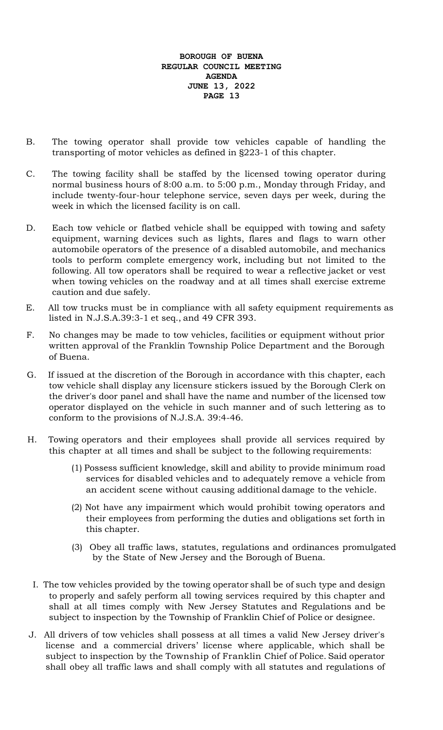- B. The towing operator shall provide tow vehicles capable of handling the transporting of motor vehicles as defined in §223-1 of this chapter.
- C. The towing facility shall be staffed by the licensed towing operator during normal business hours of 8:00 a.m. to 5:00 p.m., Monday through Friday, and include twenty-four-hour telephone service, seven days per week, during the week in which the licensed facility is on call.
- D. Each tow vehicle or flatbed vehicle shall be equipped with towing and safety equipment, warning devices such as lights, flares and flags to warn other automobile operators of the presence of a disabled automobile, and mechanics tools to perform complete emergency work, including but not limited to the following. All tow operators shall be required to wear a reflective jacket or vest when towing vehicles on the roadway and at all times shall exercise extreme caution and due safely.
- E. All tow trucks must be in compliance with all safety equipment requirements as listed in N.J.S.A.39:3-1 et seq., and 49 CFR 393.
- F. No changes may be made to tow vehicles, facilities or equipment without prior written approval of the Franklin Township Police Department and the Borough of Buena.
- G. If issued at the discretion of the Borough in accordance with this chapter, each tow vehicle shall display any licensure stickers issued by the Borough Clerk on the driver's door panel and shall have the name and number of the licensed tow operator displayed on the vehicle in such manner and of such lettering as to conform to the provisions of N.J.S.A. 39:4-46.
- H. Towing operators and their employees shall provide all services required by this chapter at all times and shall be subject to the following requirements:
	- (1) Possess sufficient knowledge, skill and ability to provide minimum road services for disabled vehicles and to adequately remove a vehicle from an accident scene without causing additional damage to the vehicle.
	- (2) Not have any impairment which would prohibit towing operators and their employees from performing the duties and obligations set forth in this chapter.
	- (3) Obey all traffic laws, statutes, regulations and ordinances promulgated by the State of New Jersey and the Borough of Buena.
	- I. The tow vehicles provided by the towing operator shall be of such type and design to properly and safely perform all towing services required by this chapter and shall at all times comply with New Jersey Statutes and Regulations and be subject to inspection by the Township of Franklin Chief of Police or designee.
- J. All drivers of tow vehicles shall possess at all times a valid New Jersey driver's license and a commercial drivers' license where applicable, which shall be subject to inspection by the Township of Franklin Chief of Police. Said operator shall obey all traffic laws and shall comply with all statutes and regulations of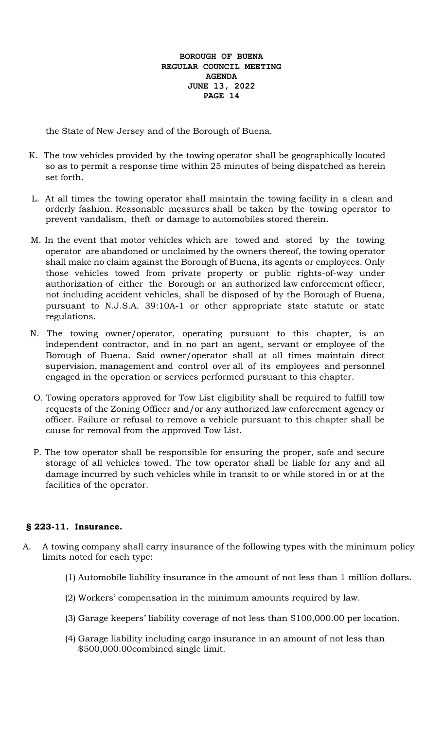the State of New Jersey and of the Borough of Buena.

- K. The tow vehicles provided by the towing operator shall be geographically located so as to permit a response time within 25 minutes of being dispatched as herein set forth.
- L. At all times the towing operator shall maintain the towing facility in a clean and orderly fashion. Reasonable measures shall be taken by the towing operator to prevent vandalism, theft or damage to automobiles stored therein.
- M. In the event that motor vehicles which are towed and stored by the towing operator are abandoned or unclaimed by the owners thereof, the towing operator shall make no claim against the Borough of Buena, its agents or employees. Only those vehicles towed from private property or public rights-of-way under authorization of either the Borough or an authorized law enforcement officer, not including accident vehicles, shall be disposed of by the Borough of Buena, pursuant to N.J.S.A. 39:10A-1 or other appropriate state statute or state regulations.
- N. The towing owner/operator, operating pursuant to this chapter, is an independent contractor, and in no part an agent, servant or employee of the Borough of Buena. Said owner/operator shall at all times maintain direct supervision, management and control over all of its employees and personnel engaged in the operation or services performed pursuant to this chapter.
- O. Towing operators approved for Tow List eligibility shall be required to fulfill tow requests of the Zoning Officer and/or any authorized law enforcement agency or officer. Failure or refusal to remove a vehicle pursuant to this chapter shall be cause for removal from the approved Tow List.
- P. The tow operator shall be responsible for ensuring the proper, safe and secure storage of all vehicles towed. The tow operator shall be liable for any and all damage incurred by such vehicles while in transit to or while stored in or at the facilities of the operator.

## **§ 223-11. Insurance.**

- A. A towing company shall carry insurance of the following types with the minimum policy limits noted for each type:
	- (1) Automobile liability insurance in the amount of not less than 1 million dollars.
	- (2) Workers' compensation in the minimum amounts required by law.
	- (3) Garage keepers' liability coverage of not less than \$100,000.00 per location.
	- (4) Garage liability including cargo insurance in an amount of not less than \$500,000.00combined single limit.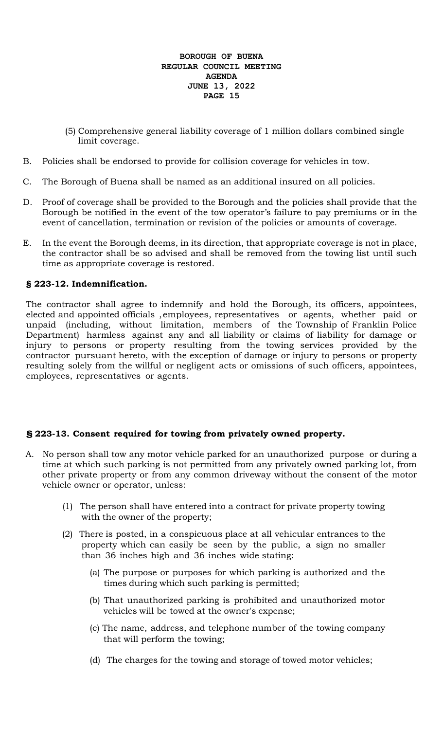- (5) Comprehensive general liability coverage of 1 million dollars combined single limit coverage.
- B. Policies shall be endorsed to provide for collision coverage for vehicles in tow.
- C. The Borough of Buena shall be named as an additional insured on all policies.
- D. Proof of coverage shall be provided to the Borough and the policies shall provide that the Borough be notified in the event of the tow operator's failure to pay premiums or in the event of cancellation, termination or revision of the policies or amounts of coverage.
- E. In the event the Borough deems, in its direction, that appropriate coverage is not in place, the contractor shall be so advised and shall be removed from the towing list until such time as appropriate coverage is restored.

# **§ 223-12. Indemnification.**

The contractor shall agree to indemnify and hold the Borough, its officers, appointees, elected and appointed officials ,employees, representatives or agents, whether paid or unpaid (including, without limitation, members of the Township of Franklin Police Department) harmless against any and all liability or claims of liability for damage or injury to persons or property resulting from the towing services provided by the contractor pursuant hereto, with the exception of damage or injury to persons or property resulting solely from the willful or negligent acts or omissions of such officers, appointees, employees, representatives or agents.

# **§ 223-13. Consent required for towing from privately owned property.**

- A. No person shall tow any motor vehicle parked for an unauthorized purpose or during a time at which such parking is not permitted from any privately owned parking lot, from other private property or from any common driveway without the consent of the motor vehicle owner or operator, unless:
	- (1) The person shall have entered into a contract for private property towing with the owner of the property;
	- (2) There is posted, in a conspicuous place at all vehicular entrances to the property which can easily be seen by the public, a sign no smaller than 36 inches high and 36 inches wide stating:
		- (a) The purpose or purposes for which parking is authorized and the times during which such parking is permitted;
		- (b) That unauthorized parking is prohibited and unauthorized motor vehicles will be towed at the owner's expense;
		- (c) The name, address, and telephone number of the towing company that will perform the towing;
		- (d) The charges for the towing and storage of towed motor vehicles;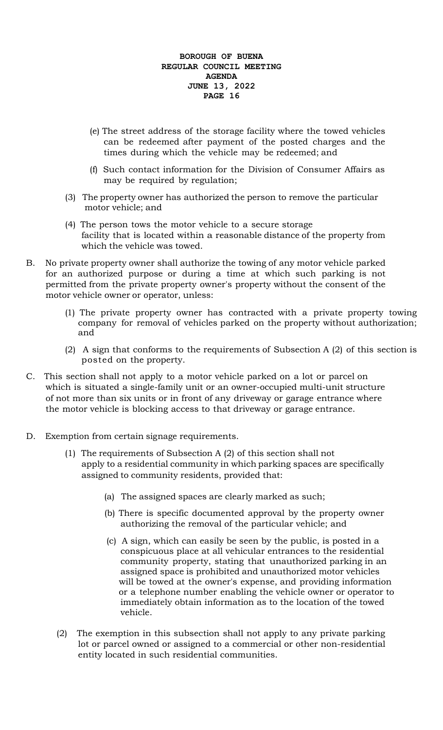- (e) The street address of the storage facility where the towed vehicles can be redeemed after payment of the posted charges and the times during which the vehicle may be redeemed; and
- (f) Such contact information for the Division of Consumer Affairs as may be required by regulation;
- (3) The property owner has authorized the person to remove the particular motor vehicle; and
- (4) The person tows the motor vehicle to a secure storage facility that is located within a reasonable distance of the property from which the vehicle was towed.
- B. No private property owner shall authorize the towing of any motor vehicle parked for an authorized purpose or during a time at which such parking is not permitted from the private property owner's property without the consent of the motor vehicle owner or operator, unless:
	- (1) The private property owner has contracted with a private property towing company for removal of vehicles parked on the property without authorization; and
	- (2) A sign that conforms to the requirements of Subsection A (2) of this section is posted on the property.
- C. This section shall not apply to a motor vehicle parked on a lot or parcel on which is situated a single-family unit or an owner-occupied multi-unit structure of not more than six units or in front of any driveway or garage entrance where the motor vehicle is blocking access to that driveway or garage entrance.
- D. Exemption from certain signage requirements.
	- (1) The requirements of Subsection A (2) of this section shall not apply to a residential community in which parking spaces are specifically assigned to community residents, provided that:
		- (a) The assigned spaces are clearly marked as such;
		- (b) There is specific documented approval by the property owner authorizing the removal of the particular vehicle; and
		- (c) A sign, which can easily be seen by the public, is posted in a conspicuous place at all vehicular entrances to the residential community property, stating that unauthorized parking in an assigned space is prohibited and unauthorized motor vehicles will be towed at the owner's expense, and providing information or a telephone number enabling the vehicle owner or operator to immediately obtain information as to the location of the towed vehicle.
	- (2) The exemption in this subsection shall not apply to any private parking lot or parcel owned or assigned to a commercial or other non-residential entity located in such residential communities.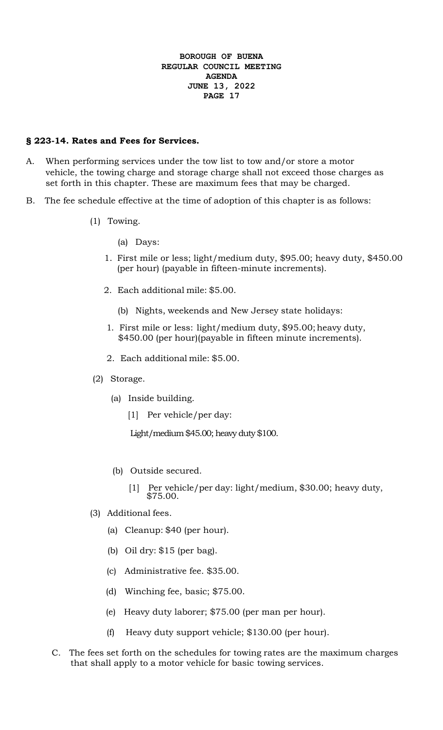## **§ 223-14. Rates and Fees for Services.**

- A. When performing services under the tow list to tow and/or store a motor vehicle, the towing charge and storage charge shall not exceed those charges as set forth in this chapter. These are maximum fees that may be charged.
- B. The fee schedule effective at the time of adoption of this chapter is as follows:
	- (1) Towing.
		- (a) Days:
		- 1. First mile or less; light/medium duty, \$95.00; heavy duty, \$450.00 (per hour) (payable in fifteen-minute increments).
		- 2. Each additional mile: \$5.00.
			- (b) Nights, weekends and New Jersey state holidays:
		- 1. First mile or less: light/medium duty, \$95.00; heavy duty, \$450.00 (per hour)(payable in fifteen minute increments).
		- 2. Each additional mile: \$5.00.
	- (2) Storage.
		- (a) Inside building.
			- [1] Per vehicle/per day:

Light/medium \$45.00; heavy duty \$100.

- (b) Outside secured.
	- [1] Per vehicle/per day: light/medium, \$30.00; heavy duty, \$75.00.
- (3) Additional fees.
	- (a) Cleanup: \$40 (per hour).
	- (b) Oil dry: \$15 (per bag).
	- (c) Administrative fee. \$35.00.
	- (d) Winching fee, basic; \$75.00.
	- (e) Heavy duty laborer; \$75.00 (per man per hour).
	- (f) Heavy duty support vehicle; \$130.00 (per hour).
- C. The fees set forth on the schedules for towing rates are the maximum charges that shall apply to a motor vehicle for basic towing services.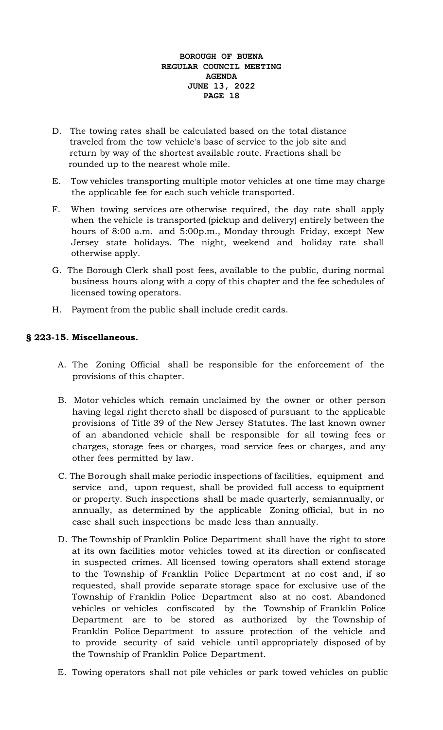- D. The towing rates shall be calculated based on the total distance traveled from the tow vehicle's base of service to the job site and return by way of the shortest available route. Fractions shall be rounded up to the nearest whole mile.
- E. Tow vehicles transporting multiple motor vehicles at one time may charge the applicable fee for each such vehicle transported.
- F. When towing services are otherwise required, the day rate shall apply when the vehicle is transported (pickup and delivery) entirely between the hours of 8:00 a.m. and 5:00p.m., Monday through Friday, except New Jersey state holidays. The night, weekend and holiday rate shall otherwise apply.
- G. The Borough Clerk shall post fees, available to the public, during normal business hours along with a copy of this chapter and the fee schedules of licensed towing operators.
- H. Payment from the public shall include credit cards.

# **§ 223-15. Miscellaneous.**

- A. The Zoning Official shall be responsible for the enforcement of the provisions of this chapter.
- B. Motor vehicles which remain unclaimed by the owner or other person having legal right thereto shall be disposed of pursuant to the applicable provisions of Title 39 of the New Jersey Statutes. The last known owner of an abandoned vehicle shall be responsible for all towing fees or charges, storage fees or charges, road service fees or charges, and any other fees permitted by law.
- C. The Borough shall make periodic inspections of facilities, equipment and service and, upon request, shall be provided full access to equipment or property. Such inspections shall be made quarterly, semiannually, or annually, as determined by the applicable Zoning official, but in no case shall such inspections be made less than annually.
- D. The Township of Franklin Police Department shall have the right to store at its own facilities motor vehicles towed at its direction or confiscated in suspected crimes. All licensed towing operators shall extend storage to the Township of Franklin Police Department at no cost and, if so requested, shall provide separate storage space for exclusive use of the Township of Franklin Police Department also at no cost. Abandoned vehicles or vehicles confiscated by the Township of Franklin Police Department are to be stored as authorized by the Township of Franklin Police Department to assure protection of the vehicle and to provide security of said vehicle until appropriately disposed of by the Township of Franklin Police Department.
- E. Towing operators shall not pile vehicles or park towed vehicles on public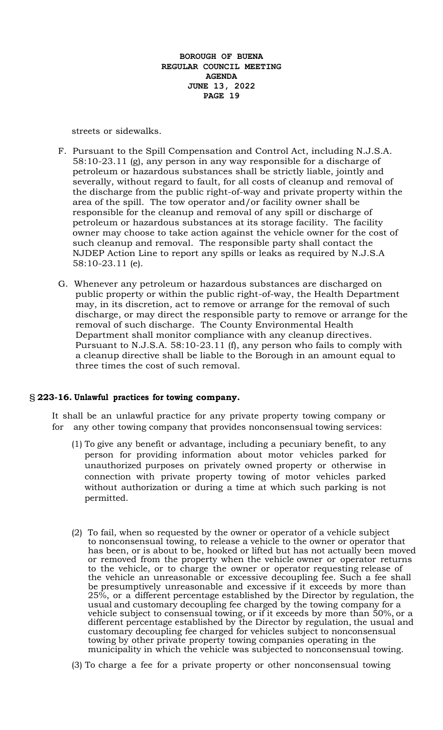streets or sidewalks.

- F. Pursuant to the Spill Compensation and Control Act, including N.J.S.A. 58:10-23.11 (g), any person in any way responsible for a discharge of petroleum or hazardous substances shall be strictly liable, jointly and severally, without regard to fault, for all costs of cleanup and removal of the discharge from the public right-of-way and private property within the area of the spill. The tow operator and/or facility owner shall be responsible for the cleanup and removal of any spill or discharge of petroleum or hazardous substances at its storage facility. The facility owner may choose to take action against the vehicle owner for the cost of such cleanup and removal. The responsible party shall contact the NJDEP Action Line to report any spills or leaks as required by N.J.S.A 58:10-23.11 (e).
- G. Whenever any petroleum or hazardous substances are discharged on public property or within the public right-of-way, the Health Department may, in its discretion, act to remove or arrange for the removal of such discharge, or may direct the responsible party to remove or arrange for the removal of such discharge. The County Environmental Health Department shall monitor compliance with any cleanup directives. Pursuant to N.J.S.A. 58:10-23.11 (f), any person who fails to comply with a cleanup directive shall be liable to the Borough in an amount equal to three times the cost of such removal.

## § **223-16. Unlawful practices for towing company.**

It shall be an unlawful practice for any private property towing company or for any other towing company that provides nonconsensual towing services:

- (1) To give any benefit or advantage, including a pecuniary benefit, to any person for providing information about motor vehicles parked for unauthorized purposes on privately owned property or otherwise in connection with private property towing of motor vehicles parked without authorization or during a time at which such parking is not permitted.
- (2) To fail, when so requested by the owner or operator of a vehicle subject to nonconsensual towing, to release a vehicle to the owner or operator that has been, or is about to be, hooked or lifted but has not actually been moved or removed from the property when the vehicle owner or operator returns to the vehicle, or to charge the owner or operator requesting release of the vehicle an unreasonable or excessive decoupling fee. Such a fee shall be presumptively unreasonable and excessive if it exceeds by more than 25%, or a different percentage established by the Director by regulation, the usual and customary decoupling fee charged by the towing company for a vehicle subject to consensual towing, or if it exceeds by more than 50%, or a different percentage established by the Director by regulation, the usual and customary decoupling fee charged for vehicles subject to nonconsensual towing by other private property towing companies operating in the municipality in which the vehicle was subjected to nonconsensual towing.
- (3) To charge a fee for a private property or other nonconsensual towing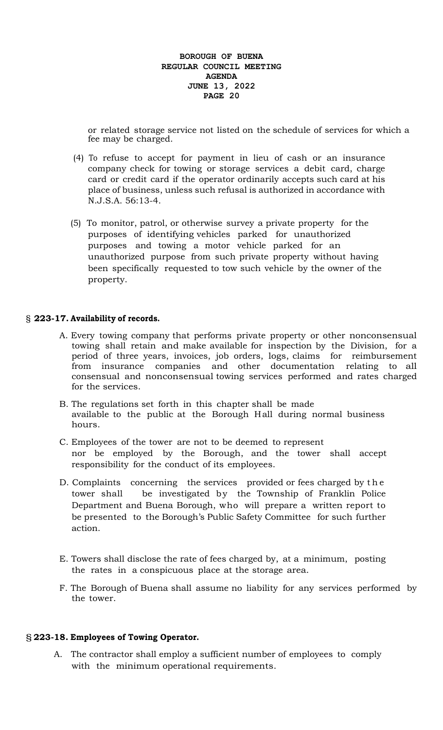or related storage service not listed on the schedule of services for which a fee may be charged.

- (4) To refuse to accept for payment in lieu of cash or an insurance company check for towing or storage services a debit card, charge card or credit card if the operator ordinarily accepts such card at his place of business, unless such refusal is authorized in accordance with N.J.S.A. 56:13-4.
- (5) To monitor, patrol, or otherwise survey a private property for the purposes of identifying vehicles parked for unauthorized purposes and towing a motor vehicle parked for an unauthorized purpose from such private property without having been specifically requested to tow such vehicle by the owner of the property.

#### § **223-17. Availability of records.**

- A. Every towing company that performs private property or other nonconsensual towing shall retain and make available for inspection by the Division, for a period of three years, invoices, job orders, logs, claims for reimbursement from insurance companies and other documentation relating to all consensual and nonconsensual towing services performed and rates charged for the services.
- B. The regulations set forth in this chapter shall be made available to the public at the Borough Hall during normal business hours.
- C. Employees of the tower are not to be deemed to represent nor be employed by the Borough, and the tower shall accept responsibility for the conduct of its employees.
- D. Complaints concerning the services provided or fees charged by t h e tower shall be investigated by the Township of Franklin Police Department and Buena Borough, who will prepare a written report to be presented to the Borough's Public Safety Committee for such further action.
- E. Towers shall disclose the rate of fees charged by, at a minimum, posting the rates in a conspicuous place at the storage area.
- F. The Borough of Buena shall assume no liability for any services performed by the tower.

#### § **223-18. Employees of Towing Operator.**

 A. The contractor shall employ a sufficient number of employees to comply with the minimum operational requirements.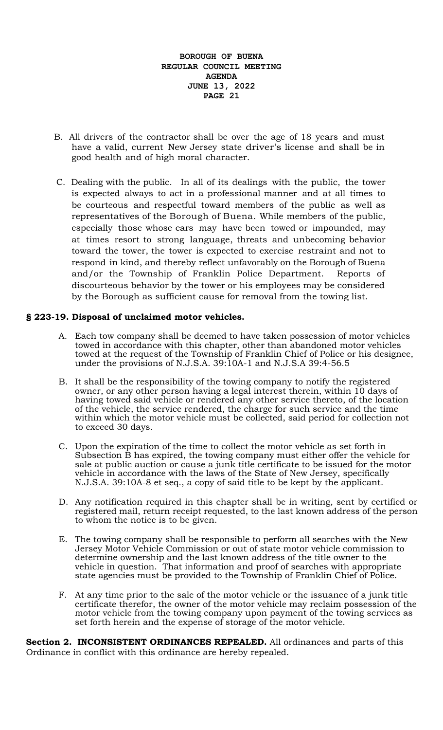- B. All drivers of the contractor shall be over the age of 18 years and must have a valid, current New Jersey state driver's license and shall be in good health and of high moral character.
- C. Dealing with the public. In all of its dealings with the public, the tower is expected always to act in a professional manner and at all times to be courteous and respectful toward members of the public as well as representatives of the Borough of Buena. While members of the public, especially those whose cars may have been towed or impounded, may at times resort to strong language, threats and unbecoming behavior toward the tower, the tower is expected to exercise restraint and not to respond in kind, and thereby reflect unfavorably on the Borough of Buena and/or the Township of Franklin Police Department. Reports of discourteous behavior by the tower or his employees may be considered by the Borough as sufficient cause for removal from the towing list.

## **§ 223-19. Disposal of unclaimed motor vehicles.**

- A. Each tow company shall be deemed to have taken possession of motor vehicles towed in accordance with this chapter, other than abandoned motor vehicles towed at the request of the Township of Franklin Chief of Police or his designee, under the provisions of N.J.S.A. 39:10A-1 and N.J.S.A 39:4-56.5
- B. It shall be the responsibility of the towing company to notify the registered owner, or any other person having a legal interest therein, within 10 days of having towed said vehicle or rendered any other service thereto, of the location of the vehicle, the service rendered, the charge for such service and the time within which the motor vehicle must be collected, said period for collection not to exceed 30 days.
- C. Upon the expiration of the time to collect the motor vehicle as set forth in Subsection B has expired, the towing company must either offer the vehicle for sale at public auction or cause a junk title certificate to be issued for the motor vehicle in accordance with the laws of the State of New Jersey, specifically N.J.S.A. 39:10A-8 et seq., a copy of said title to be kept by the applicant.
- D. Any notification required in this chapter shall be in writing, sent by certified or registered mail, return receipt requested, to the last known address of the person to whom the notice is to be given.
- E. The towing company shall be responsible to perform all searches with the New Jersey Motor Vehicle Commission or out of state motor vehicle commission to determine ownership and the last known address of the title owner to the vehicle in question. That information and proof of searches with appropriate state agencies must be provided to the Township of Franklin Chief of Police.
- F. At any time prior to the sale of the motor vehicle or the issuance of a junk title certificate therefor, the owner of the motor vehicle may reclaim possession of the motor vehicle from the towing company upon payment of the towing services as set forth herein and the expense of storage of the motor vehicle.

**Section 2. INCONSISTENT ORDINANCES REPEALED.** All ordinances and parts of this Ordinance in conflict with this ordinance are hereby repealed.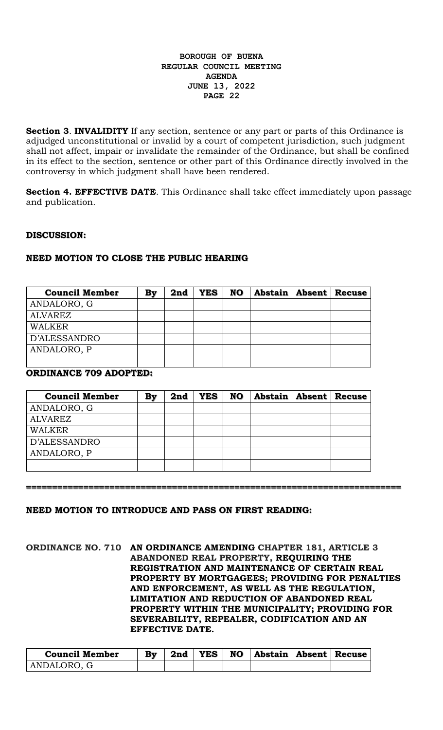**Section 3. <b>INVALIDITY** If any section, sentence or any part or parts of this Ordinance is adjudged unconstitutional or invalid by a court of competent jurisdiction, such judgment shall not affect, impair or invalidate the remainder of the Ordinance, but shall be confined in its effect to the section, sentence or other part of this Ordinance directly involved in the controversy in which judgment shall have been rendered.

**Section 4. EFFECTIVE DATE**. This Ordinance shall take effect immediately upon passage and publication.

## **DISCUSSION:**

## **NEED MOTION TO CLOSE THE PUBLIC HEARING**

| <b>Council Member</b> | Bv | 2nd | <b>YES</b> | <b>NO</b> | <b>Abstain   Absent   Recuse</b> |  |
|-----------------------|----|-----|------------|-----------|----------------------------------|--|
| ANDALORO, G           |    |     |            |           |                                  |  |
| <b>ALVAREZ</b>        |    |     |            |           |                                  |  |
| WALKER                |    |     |            |           |                                  |  |
| D'ALESSANDRO          |    |     |            |           |                                  |  |
| ANDALORO, P           |    |     |            |           |                                  |  |
|                       |    |     |            |           |                                  |  |

# **ORDINANCE 709 ADOPTED:**

| <b>Council Member</b> | By | 2nd | <b>YES</b> | <b>NO</b> | <b>Abstain   Absent   Recuse</b> |  |
|-----------------------|----|-----|------------|-----------|----------------------------------|--|
| ANDALORO, G           |    |     |            |           |                                  |  |
| <b>ALVAREZ</b>        |    |     |            |           |                                  |  |
| <b>WALKER</b>         |    |     |            |           |                                  |  |
| D'ALESSANDRO          |    |     |            |           |                                  |  |
| ANDALORO, P           |    |     |            |           |                                  |  |
|                       |    |     |            |           |                                  |  |

**========================================================================**

#### **NEED MOTION TO INTRODUCE AND PASS ON FIRST READING:**

**ORDINANCE NO. 710 AN ORDINANCE AMENDING CHAPTER 181, ARTICLE 3 ABANDONED REAL PROPERTY, REQUIRING THE REGISTRATION AND MAINTENANCE OF CERTAIN REAL PROPERTY BY MORTGAGEES; PROVIDING FOR PENALTIES AND ENFORCEMENT, AS WELL AS THE REGULATION, LIMITATION AND REDUCTION OF ABANDONED REAL PROPERTY WITHIN THE MUNICIPALITY; PROVIDING FOR SEVERABILITY, REPEALER, CODIFICATION AND AN EFFECTIVE DATE.**

| <b>Council Member</b> | By | 2nd | <b>YES</b> | NO | Abstain   Absent   Recuse |  |
|-----------------------|----|-----|------------|----|---------------------------|--|
| ANDALORO, G           |    |     |            |    |                           |  |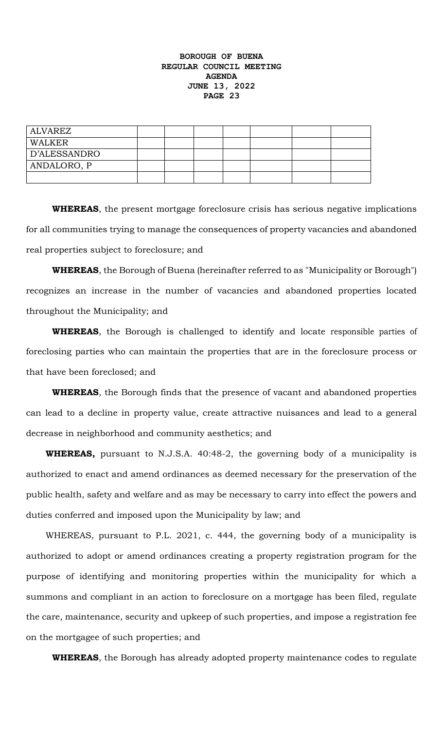| ALVAREZ      |  |  |  |  |
|--------------|--|--|--|--|
| WALKER       |  |  |  |  |
| D'ALESSANDRO |  |  |  |  |
| ANDALORO, P  |  |  |  |  |
|              |  |  |  |  |

**WHEREAS**, the present mortgage foreclosure crisis has serious negative implications for all communities trying to manage the consequences of property vacancies and abandoned real properties subject to foreclosure; and

**WHEREAS**, the Borough of Buena (hereinafter referred to as "Municipality or Borough") recognizes an increase in the number of vacancies and abandoned properties located throughout the Municipality; and

**WHEREAS**, the Borough is challenged to identify and locate responsible parties of foreclosing parties who can maintain the properties that are in the foreclosure process or that have been foreclosed; and

**WHEREAS**, the Borough finds that the presence of vacant and abandoned properties can lead to a decline in property value, create attractive nuisances and lead to a general decrease in neighborhood and community aesthetics; and

**WHEREAS,** pursuant to N.J.S.A. 40:48-2, the governing body of a municipality is authorized to enact and amend ordinances as deemed necessary for the preservation of the public health, safety and welfare and as may be necessary to carry into effect the powers and duties conferred and imposed upon the Municipality by law; and

WHEREAS, pursuant to P.L. 2021, c. 444, the governing body of a municipality is authorized to adopt or amend ordinances creating a property registration program for the purpose of identifying and monitoring properties within the municipality for which a summons and compliant in an action to foreclosure on a mortgage has been filed, regulate the care, maintenance, security and upkeep of such properties, and impose a registration fee on the mortgagee of such properties; and

**WHEREAS**, the Borough has already adopted property maintenance codes to regulate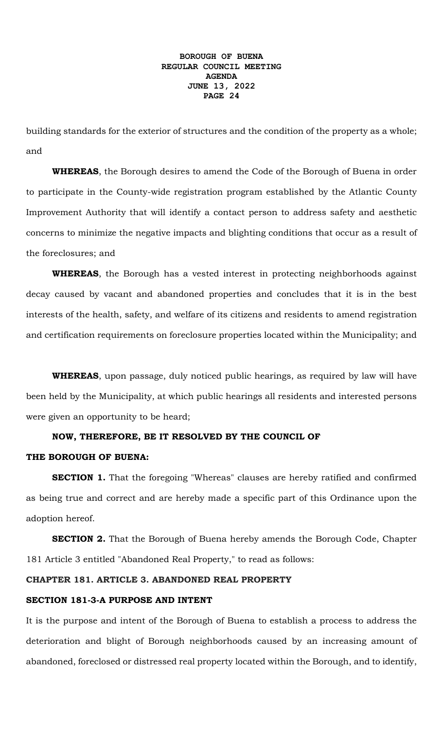building standards for the exterior of structures and the condition of the property as a whole; and

**WHEREAS**, the Borough desires to amend the Code of the Borough of Buena in order to participate in the County-wide registration program established by the Atlantic County Improvement Authority that will identify a contact person to address safety and aesthetic concerns to minimize the negative impacts and blighting conditions that occur as a result of the foreclosures; and

**WHEREAS**, the Borough has a vested interest in protecting neighborhoods against decay caused by vacant and abandoned properties and concludes that it is in the best interests of the health, safety, and welfare of its citizens and residents to amend registration and certification requirements on foreclosure properties located within the Municipality; and

**WHEREAS**, upon passage, duly noticed public hearings, as required by law will have been held by the Municipality, at which public hearings all residents and interested persons were given an opportunity to be heard;

## **NOW, THEREFORE, BE IT RESOLVED BY THE COUNCIL OF**

#### **THE BOROUGH OF BUENA:**

**SECTION 1.** That the foregoing "Whereas" clauses are hereby ratified and confirmed as being true and correct and are hereby made a specific part of this Ordinance upon the adoption hereof.

**SECTION 2.** That the Borough of Buena hereby amends the Borough Code, Chapter 181 Article 3 entitled "Abandoned Real Property," to read as follows:

# **CHAPTER 181. ARTICLE 3. ABANDONED REAL PROPERTY**

# **SECTION 181-3-A PURPOSE AND INTENT**

It is the purpose and intent of the Borough of Buena to establish a process to address the deterioration and blight of Borough neighborhoods caused by an increasing amount of abandoned, foreclosed or distressed real property located within the Borough, and to identify,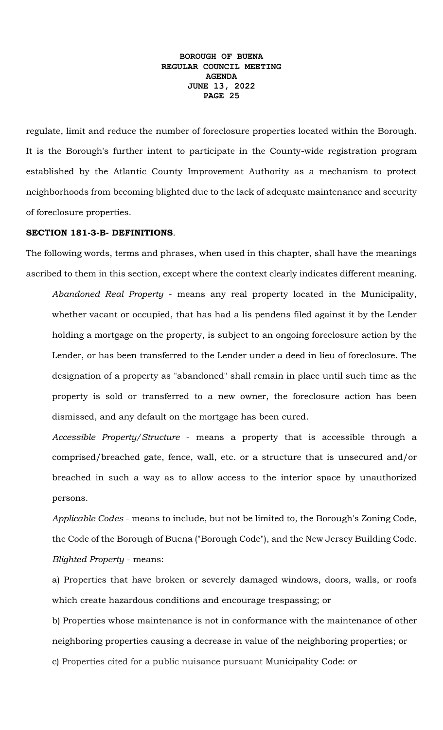regulate, limit and reduce the number of foreclosure properties located within the Borough. It is the Borough's further intent to participate in the County-wide registration program established by the Atlantic County Improvement Authority as a mechanism to protect neighborhoods from becoming blighted due to the lack of adequate maintenance and security of foreclosure properties.

#### **SECTION 181-3-B- DEFINITIONS**.

The following words, terms and phrases, when used in this chapter, shall have the meanings ascribed to them in this section, except where the context clearly indicates different meaning.

*Abandoned Real Property* - means any real property located in the Municipality, whether vacant or occupied, that has had a lis pendens filed against it by the Lender holding a mortgage on the property, is subject to an ongoing foreclosure action by the Lender, or has been transferred to the Lender under a deed in lieu of foreclosure. The designation of a property as "abandoned" shall remain in place until such time as the property is sold or transferred to a new owner, the foreclosure action has been dismissed, and any default on the mortgage has been cured.

*Accessible Property/Structure* - means a property that is accessible through a comprised/breached gate, fence, wall, etc. or a structure that is unsecured and/or breached in such a way as to allow access to the interior space by unauthorized persons.

*Applicable Codes* - means to include, but not be limited to, the Borough's Zoning Code, the Code of the Borough of Buena ("Borough Code"), and the New Jersey Building Code. *Blighted Property* - means:

a) Properties that have broken or severely damaged windows, doors, walls, or roofs which create hazardous conditions and encourage trespassing; or

b) Properties whose maintenance is not in conformance with the maintenance of other neighboring properties causing a decrease in value of the neighboring properties; or c) Properties cited for a public nuisance pursuant Municipality Code: or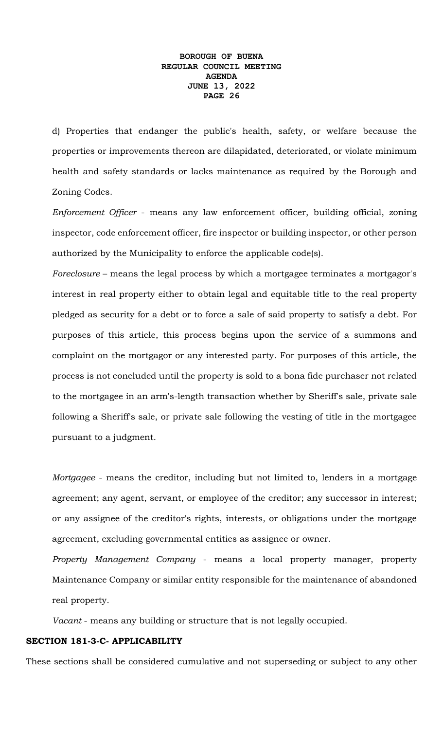d) Properties that endanger the public's health, safety, or welfare because the properties or improvements thereon are dilapidated, deteriorated, or violate minimum health and safety standards or lacks maintenance as required by the Borough and Zoning Codes.

*Enforcement Officer* - means any law enforcement officer, building official, zoning inspector, code enforcement officer, fire inspector or building inspector, or other person authorized by the Municipality to enforce the applicable code(s).

*Foreclosure* – means the legal process by which a mortgagee terminates a mortgagor's interest in real property either to obtain legal and equitable title to the real property pledged as security for a debt or to force a sale of said property to satisfy a debt. For purposes of this article, this process begins upon the service of a summons and complaint on the mortgagor or any interested party. For purposes of this article, the process is not concluded until the property is sold to a bona fide purchaser not related to the mortgagee in an arm's-length transaction whether by Sheriff's sale, private sale following a Sheriff's sale, or private sale following the vesting of title in the mortgagee pursuant to a judgment.

*Mortgagee* - means the creditor, including but not limited to, lenders in a mortgage agreement; any agent, servant, or employee of the creditor; any successor in interest; or any assignee of the creditor's rights, interests, or obligations under the mortgage agreement, excluding governmental entities as assignee or owner.

*Property Management Company* - means a local property manager, property Maintenance Company or similar entity responsible for the maintenance of abandoned real property.

*Vacant* - means any building or structure that is not legally occupied.

## **SECTION 181-3-C- APPLICABILITY**

These sections shall be considered cumulative and not superseding or subject to any other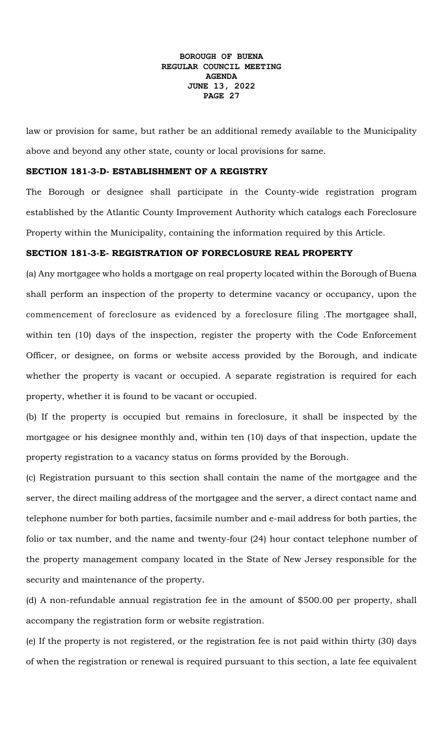law or provision for same, but rather be an additional remedy available to the Municipality above and beyond any other state, county or local provisions for same.

#### **SECTION 181-3-D- ESTABLISHMENT OF A REGISTRY**

The Borough or designee shall participate in the County-wide registration program established by the Atlantic County Improvement Authority which catalogs each Foreclosure Property within the Municipality, containing the information required by this Article.

#### **SECTION 181-3-E- REGISTRATION OF FORECLOSURE REAL PROPERTY**

(a) Any mortgagee who holds a mortgage on real property located within the Borough of Buena shall perform an inspection of the property to determine vacancy or occupancy, upon the commencement of foreclosure as evidenced by a foreclosure filing .The mortgagee shall, within ten (10) days of the inspection, register the property with the Code Enforcement Officer, or designee, on forms or website access provided by the Borough, and indicate whether the property is vacant or occupied. A separate registration is required for each property, whether it is found to be vacant or occupied.

(b) If the property is occupied but remains in foreclosure, it shall be inspected by the mortgagee or his designee monthly and, within ten (10) days of that inspection, update the property registration to a vacancy status on forms provided by the Borough.

(c) Registration pursuant to this section shall contain the name of the mortgagee and the server, the direct mailing address of the mortgagee and the server, a direct contact name and telephone number for both parties, facsimile number and e-mail address for both parties, the folio or tax number, and the name and twenty-four (24) hour contact telephone number of the property management company located in the State of New Jersey responsible for the security and maintenance of the property.

(d) A non-refundable annual registration fee in the amount of \$500.00 per property, shall accompany the registration form or website registration.

(e) If the property is not registered, or the registration fee is not paid within thirty (30) days of when the registration or renewal is required pursuant to this section, a late fee equivalent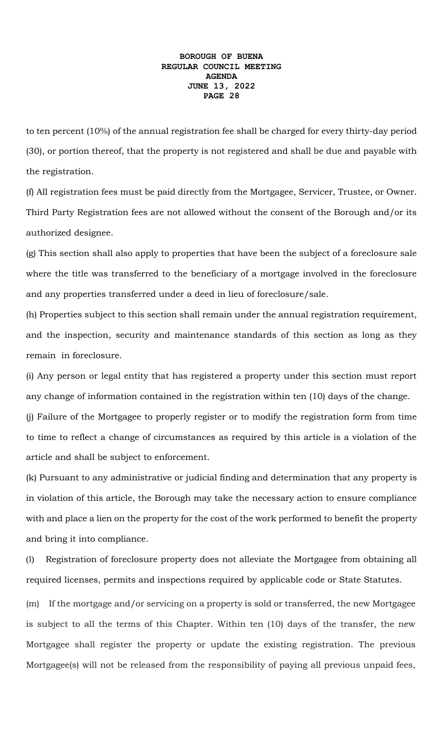to ten percent (10%) of the annual registration fee shall be charged for every thirty-day period (30), or portion thereof, that the property is not registered and shall be due and payable with the registration.

(f) All registration fees must be paid directly from the Mortgagee, Servicer, Trustee, or Owner. Third Party Registration fees are not allowed without the consent of the Borough and/or its authorized designee.

(g) This section shall also apply to properties that have been the subject of a foreclosure sale where the title was transferred to the beneficiary of a mortgage involved in the foreclosure and any properties transferred under a deed in lieu of foreclosure/sale.

(h) Properties subject to this section shall remain under the annual registration requirement, and the inspection, security and maintenance standards of this section as long as they remain in foreclosure.

(i) Any person or legal entity that has registered a property under this section must report any change of information contained in the registration within ten (10) days of the change. (j) Failure of the Mortgagee to properly register or to modify the registration form from time to time to reflect a change of circumstances as required by this article is a violation of the article and shall be subject to enforcement.

(k) Pursuant to any administrative or judicial finding and determination that any property is in violation of this article, the Borough may take the necessary action to ensure compliance with and place a lien on the property for the cost of the work performed to benefit the property and bring it into compliance.

(l) Registration of foreclosure property does not alleviate the Mortgagee from obtaining all required licenses, permits and inspections required by applicable code or State Statutes.

(m) If the mortgage and/or servicing on a property is sold or transferred, the new Mortgagee is subject to all the terms of this Chapter. Within ten (10) days of the transfer, the new Mortgagee shall register the property or update the existing registration. The previous Mortgagee(s) will not be released from the responsibility of paying all previous unpaid fees,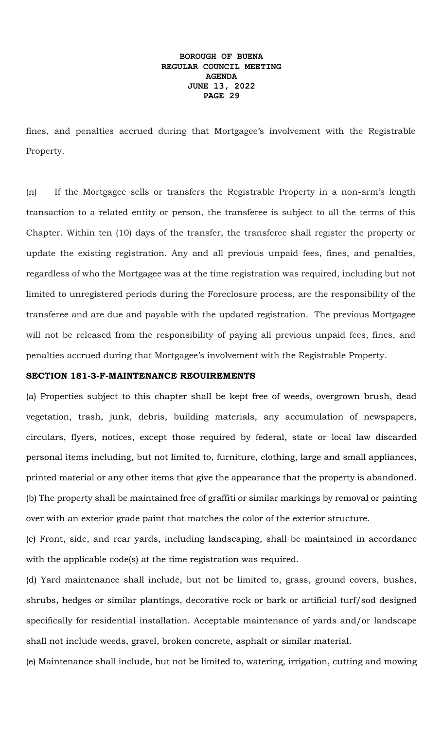fines, and penalties accrued during that Mortgagee's involvement with the Registrable Property.

(n) If the Mortgagee sells or transfers the Registrable Property in a non-arm's length transaction to a related entity or person, the transferee is subject to all the terms of this Chapter. Within ten (10) days of the transfer, the transferee shall register the property or update the existing registration. Any and all previous unpaid fees, fines, and penalties, regardless of who the Mortgagee was at the time registration was required, including but not limited to unregistered periods during the Foreclosure process, are the responsibility of the transferee and are due and payable with the updated registration. The previous Mortgagee will not be released from the responsibility of paying all previous unpaid fees, fines, and penalties accrued during that Mortgagee's involvement with the Registrable Property.

#### **SECTION 181-3-F-MAINTENANCE REOUIREMENTS**

(a) Properties subject to this chapter shall be kept free of weeds, overgrown brush, dead vegetation, trash, junk, debris, building materials, any accumulation of newspapers, circulars, flyers, notices, except those required by federal, state or local law discarded personal items including, but not limited to, furniture, clothing, large and small appliances, printed material or any other items that give the appearance that the property is abandoned. (b) The property shall be maintained free of graffiti or similar markings by removal or painting over with an exterior grade paint that matches the color of the exterior structure.

(c) Front, side, and rear yards, including landscaping, shall be maintained in accordance with the applicable code(s) at the time registration was required.

(d) Yard maintenance shall include, but not be limited to, grass, ground covers, bushes, shrubs, hedges or similar plantings, decorative rock or bark or artificial turf/sod designed specifically for residential installation. Acceptable maintenance of yards and/or landscape shall not include weeds, gravel, broken concrete, asphalt or similar material.

(e) Maintenance shall include, but not be limited to, watering, irrigation, cutting and mowing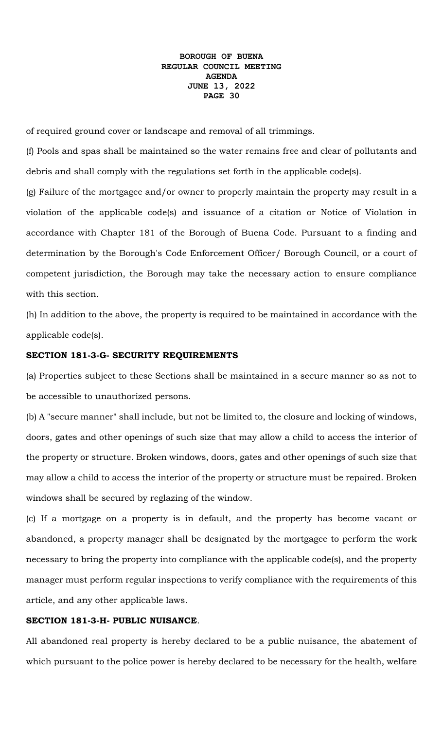of required ground cover or landscape and removal of all trimmings.

(f) Pools and spas shall be maintained so the water remains free and clear of pollutants and debris and shall comply with the regulations set forth in the applicable code(s).

(g) Failure of the mortgagee and/or owner to properly maintain the property may result in a violation of the applicable code(s) and issuance of a citation or Notice of Violation in accordance with Chapter 181 of the Borough of Buena Code. Pursuant to a finding and determination by the Borough's Code Enforcement Officer/ Borough Council, or a court of competent jurisdiction, the Borough may take the necessary action to ensure compliance with this section.

(h) In addition to the above, the property is required to be maintained in accordance with the applicable code(s).

#### **SECTION 181-3-G- SECURITY REQUIREMENTS**

(a) Properties subject to these Sections shall be maintained in a secure manner so as not to be accessible to unauthorized persons.

(b) A "secure manner" shall include, but not be limited to, the closure and locking of windows, doors, gates and other openings of such size that may allow a child to access the interior of the property or structure. Broken windows, doors, gates and other openings of such size that may allow a child to access the interior of the property or structure must be repaired. Broken windows shall be secured by reglazing of the window.

(c) If a mortgage on a property is in default, and the property has become vacant or abandoned, a property manager shall be designated by the mortgagee to perform the work necessary to bring the property into compliance with the applicable code(s), and the property manager must perform regular inspections to verify compliance with the requirements of this article, and any other applicable laws.

#### **SECTION 181-3-H- PUBLIC NUISANCE**.

All abandoned real property is hereby declared to be a public nuisance, the abatement of which pursuant to the police power is hereby declared to be necessary for the health, welfare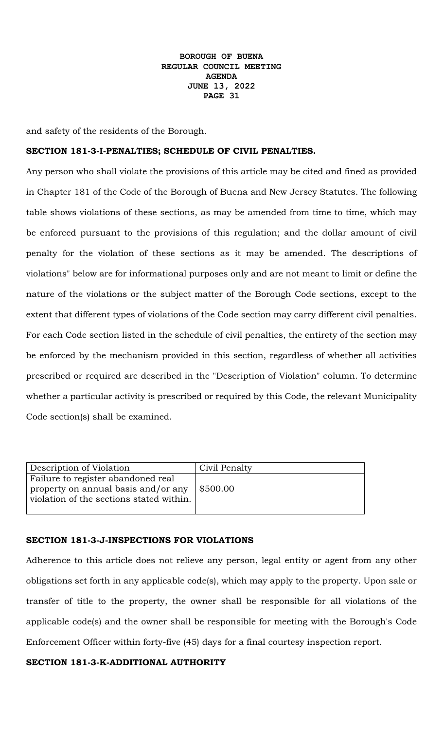and safety of the residents of the Borough.

#### **SECTION 181-3-I-PENALTIES; SCHEDULE OF CIVIL PENALTIES.**

Any person who shall violate the provisions of this article may be cited and fined as provided in Chapter 181 of the Code of the Borough of Buena and New Jersey Statutes. The following table shows violations of these sections, as may be amended from time to time, which may be enforced pursuant to the provisions of this regulation; and the dollar amount of civil penalty for the violation of these sections as it may be amended. The descriptions of violations" below are for informational purposes only and are not meant to limit or define the nature of the violations or the subject matter of the Borough Code sections, except to the extent that different types of violations of the Code section may carry different civil penalties. For each Code section listed in the schedule of civil penalties, the entirety of the section may be enforced by the mechanism provided in this section, regardless of whether all activities prescribed or required are described in the "Description of Violation" column. To determine whether a particular activity is prescribed or required by this Code, the relevant Municipality Code section(s) shall be examined.

| Description of Violation                                                                                              | Civil Penalty |
|-----------------------------------------------------------------------------------------------------------------------|---------------|
| Failure to register abandoned real<br>property on annual basis and/or any<br>violation of the sections stated within. | \$500.00      |
|                                                                                                                       |               |

#### **SECTION 181-3-J-INSPECTIONS FOR VIOLATIONS**

Adherence to this article does not relieve any person, legal entity or agent from any other obligations set forth in any applicable code(s), which may apply to the property. Upon sale or transfer of title to the property, the owner shall be responsible for all violations of the applicable code(s) and the owner shall be responsible for meeting with the Borough's Code Enforcement Officer within forty-five (45) days for a final courtesy inspection report.

#### **SECTION 181-3-K-ADDITIONAL AUTHORITY**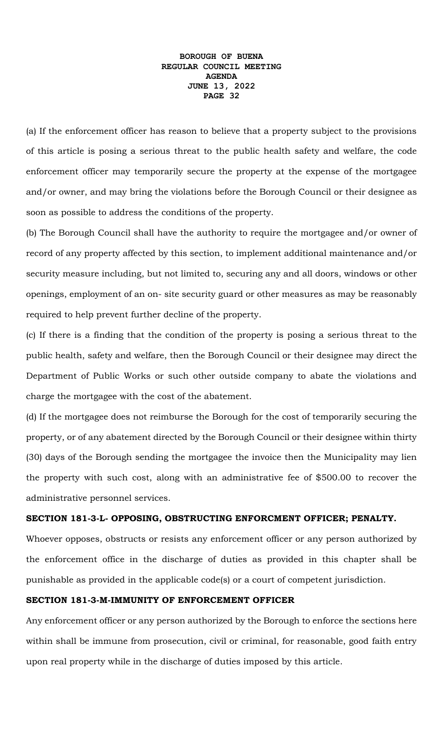(a) If the enforcement officer has reason to believe that a property subject to the provisions of this article is posing a serious threat to the public health safety and welfare, the code enforcement officer may temporarily secure the property at the expense of the mortgagee and/or owner, and may bring the violations before the Borough Council or their designee as soon as possible to address the conditions of the property.

(b) The Borough Council shall have the authority to require the mortgagee and/or owner of record of any property affected by this section, to implement additional maintenance and/or security measure including, but not limited to, securing any and all doors, windows or other openings, employment of an on- site security guard or other measures as may be reasonably required to help prevent further decline of the property.

(c) If there is a finding that the condition of the property is posing a serious threat to the public health, safety and welfare, then the Borough Council or their designee may direct the Department of Public Works or such other outside company to abate the violations and charge the mortgagee with the cost of the abatement.

(d) If the mortgagee does not reimburse the Borough for the cost of temporarily securing the property, or of any abatement directed by the Borough Council or their designee within thirty (30) days of the Borough sending the mortgagee the invoice then the Municipality may lien the property with such cost, along with an administrative fee of \$500.00 to recover the administrative personnel services.

#### **SECTION 181-3-L- OPPOSING, OBSTRUCTING ENFORCMENT OFFICER; PENALTY.**

Whoever opposes, obstructs or resists any enforcement officer or any person authorized by the enforcement office in the discharge of duties as provided in this chapter shall be punishable as provided in the applicable code(s) or a court of competent jurisdiction.

#### **SECTION 181-3-M-IMMUNITY OF ENFORCEMENT OFFICER**

Any enforcement officer or any person authorized by the Borough to enforce the sections here within shall be immune from prosecution, civil or criminal, for reasonable, good faith entry upon real property while in the discharge of duties imposed by this article.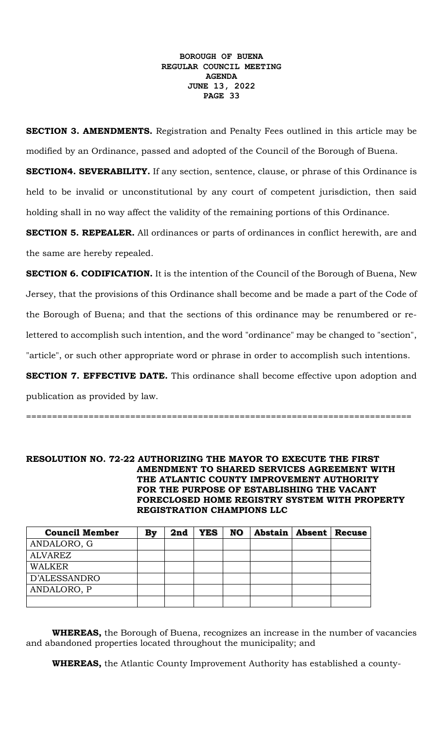**SECTION 3. AMENDMENTS.** Registration and Penalty Fees outlined in this article may be modified by an Ordinance, passed and adopted of the Council of the Borough of Buena.

**SECTION4. SEVERABILITY.** If any section, sentence, clause, or phrase of this Ordinance is held to be invalid or unconstitutional by any court of competent jurisdiction, then said holding shall in no way affect the validity of the remaining portions of this Ordinance.

**SECTION 5. REPEALER.** All ordinances or parts of ordinances in conflict herewith, are and the same are hereby repealed.

**SECTION 6. CODIFICATION.** It is the intention of the Council of the Borough of Buena, New Jersey, that the provisions of this Ordinance shall become and be made a part of the Code of the Borough of Buena; and that the sections of this ordinance may be renumbered or relettered to accomplish such intention, and the word "ordinance" may be changed to "section", "article", or such other appropriate word or phrase in order to accomplish such intentions.

**SECTION 7. EFFECTIVE DATE.** This ordinance shall become effective upon adoption and publication as provided by law.

==========================================================================

**RESOLUTION NO. 72-22 AUTHORIZING THE MAYOR TO EXECUTE THE FIRST AMENDMENT TO SHARED SERVICES AGREEMENT WITH THE ATLANTIC COUNTY IMPROVEMENT AUTHORITY FOR THE PURPOSE OF ESTABLISHING THE VACANT FORECLOSED HOME REGISTRY SYSTEM WITH PROPERTY REGISTRATION CHAMPIONS LLC**

| <b>Council Member</b> | By | 2nd | <b>YES</b> | <b>NO</b> | Abstain   Absent | <b>Recuse</b> |
|-----------------------|----|-----|------------|-----------|------------------|---------------|
| ANDALORO, G           |    |     |            |           |                  |               |
| <b>ALVAREZ</b>        |    |     |            |           |                  |               |
| WALKER                |    |     |            |           |                  |               |
| D'ALESSANDRO          |    |     |            |           |                  |               |
| ANDALORO, P           |    |     |            |           |                  |               |
|                       |    |     |            |           |                  |               |

**WHEREAS,** the Borough of Buena, recognizes an increase in the number of vacancies and abandoned properties located throughout the municipality; and

**WHEREAS,** the Atlantic County Improvement Authority has established a county-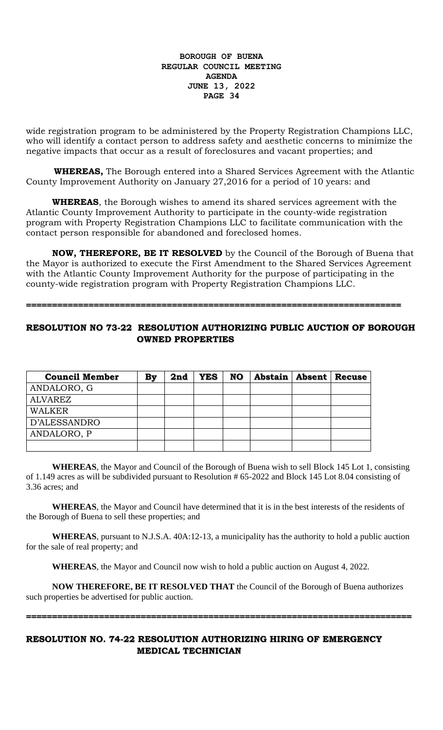wide registration program to be administered by the Property Registration Champions LLC, who will identify a contact person to address safety and aesthetic concerns to minimize the negative impacts that occur as a result of foreclosures and vacant properties; and

 **WHEREAS,** The Borough entered into a Shared Services Agreement with the Atlantic County Improvement Authority on January 27,2016 for a period of 10 years: and

**WHEREAS**, the Borough wishes to amend its shared services agreement with the Atlantic County Improvement Authority to participate in the county-wide registration program with Property Registration Champions LLC to facilitate communication with the contact person responsible for abandoned and foreclosed homes.

**NOW, THEREFORE, BE IT RESOLVED** by the Council of the Borough of Buena that the Mayor is authorized to execute the First Amendment to the Shared Services Agreement with the Atlantic County Improvement Authority for the purpose of participating in the county-wide registration program with Property Registration Champions LLC.

**========================================================================**

# **RESOLUTION NO 73-22 RESOLUTION AUTHORIZING PUBLIC AUCTION OF BOROUGH OWNED PROPERTIES**

| <b>Council Member</b> | Bv | 2nd | <b>YES</b> | NO. | Abstain   Absent | <b>Recuse</b> |
|-----------------------|----|-----|------------|-----|------------------|---------------|
| ANDALORO, G           |    |     |            |     |                  |               |
| <b>ALVAREZ</b>        |    |     |            |     |                  |               |
| <b>WALKER</b>         |    |     |            |     |                  |               |
| D'ALESSANDRO          |    |     |            |     |                  |               |
| ANDALORO, P           |    |     |            |     |                  |               |
|                       |    |     |            |     |                  |               |

**WHEREAS**, the Mayor and Council of the Borough of Buena wish to sell Block 145 Lot 1, consisting of 1.149 acres as will be subdivided pursuant to Resolution # 65-2022 and Block 145 Lot 8.04 consisting of 3.36 acres; and

**WHEREAS**, the Mayor and Council have determined that it is in the best interests of the residents of the Borough of Buena to sell these properties; and

**WHEREAS**, pursuant to N.J.S.A. 40A:12-13, a municipality has the authority to hold a public auction for the sale of real property; and

**WHEREAS**, the Mayor and Council now wish to hold a public auction on August 4, 2022.

**NOW THEREFORE, BE IT RESOLVED THAT** the Council of the Borough of Buena authorizes such properties be advertised for public auction.

**==========================================================================**

# **RESOLUTION NO. 74-22 RESOLUTION AUTHORIZING HIRING OF EMERGENCY MEDICAL TECHNICIAN**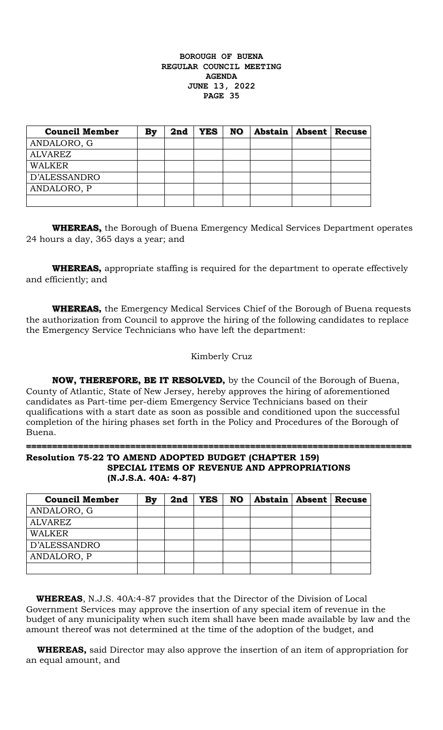| <b>Council Member</b> | By | 2nd | <b>YES</b> | <b>NO</b> | Abstain   Absent | <b>Recuse</b> |
|-----------------------|----|-----|------------|-----------|------------------|---------------|
| ANDALORO, G           |    |     |            |           |                  |               |
| <b>ALVAREZ</b>        |    |     |            |           |                  |               |
| <b>WALKER</b>         |    |     |            |           |                  |               |
| D'ALESSANDRO          |    |     |            |           |                  |               |
| ANDALORO, P           |    |     |            |           |                  |               |
|                       |    |     |            |           |                  |               |

**WHEREAS,** the Borough of Buena Emergency Medical Services Department operates 24 hours a day, 365 days a year; and

**WHEREAS,** appropriate staffing is required for the department to operate effectively and efficiently; and

**WHEREAS,** the Emergency Medical Services Chief of the Borough of Buena requests the authorization from Council to approve the hiring of the following candidates to replace the Emergency Service Technicians who have left the department:

## Kimberly Cruz

**NOW, THEREFORE, BE IT RESOLVED,** by the Council of the Borough of Buena, County of Atlantic, State of New Jersey, hereby approves the hiring of aforementioned candidates as Part-time per-diem Emergency Service Technicians based on their qualifications with a start date as soon as possible and conditioned upon the successful completion of the hiring phases set forth in the Policy and Procedures of the Borough of Buena.

# **========================================================================== Resolution 75-22 TO AMEND ADOPTED BUDGET (CHAPTER 159)**

## **SPECIAL ITEMS OF REVENUE AND APPROPRIATIONS (N.J.S.A. 40A: 4-87)**

| <b>Council Member</b> | Bv | 2nd | <b>YES</b> | NO | Abstain   Absent   Recuse |  |
|-----------------------|----|-----|------------|----|---------------------------|--|
| ANDALORO, G           |    |     |            |    |                           |  |
| <b>ALVAREZ</b>        |    |     |            |    |                           |  |
| <b>WALKER</b>         |    |     |            |    |                           |  |
| D'ALESSANDRO          |    |     |            |    |                           |  |
| ANDALORO, P           |    |     |            |    |                           |  |
|                       |    |     |            |    |                           |  |

 **WHEREAS**, N.J.S. 40A:4-87 provides that the Director of the Division of Local Government Services may approve the insertion of any special item of revenue in the budget of any municipality when such item shall have been made available by law and the amount thereof was not determined at the time of the adoption of the budget, and

 **WHEREAS,** said Director may also approve the insertion of an item of appropriation for an equal amount, and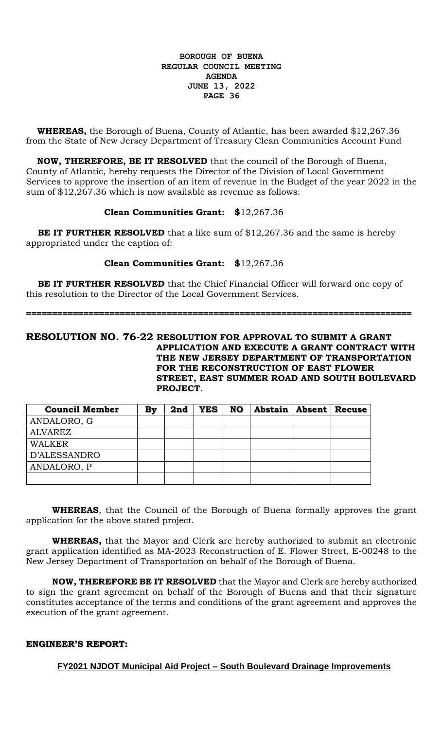**WHEREAS,** the Borough of Buena, County of Atlantic, has been awarded \$12,267.36 from the State of New Jersey Department of Treasury Clean Communities Account Fund

 **NOW, THEREFORE, BE IT RESOLVED** that the council of the Borough of Buena, County of Atlantic, hereby requests the Director of the Division of Local Government Services to approve the insertion of an item of revenue in the Budget of the year 2022 in the sum of \$12,267.36 which is now available as revenue as follows:

## **Clean Communities Grant: \$**12,267.36

**BE IT FURTHER RESOLVED** that a like sum of \$12,267.36 and the same is hereby appropriated under the caption of:

# **Clean Communities Grant: \$**12,267.36

 **BE IT FURTHER RESOLVED** that the Chief Financial Officer will forward one copy of this resolution to the Director of the Local Government Services.

**==========================================================================**

**RESOLUTION NO. 76-22 RESOLUTION FOR APPROVAL TO SUBMIT A GRANT APPLICATION AND EXECUTE A GRANT CONTRACT WITH THE NEW JERSEY DEPARTMENT OF TRANSPORTATION FOR THE RECONSTRUCTION OF EAST FLOWER STREET, EAST SUMMER ROAD AND SOUTH BOULEVARD PROJECT.**

| <b>Council Member</b> | By | 2nd | <b>YES</b> | <b>NO</b> | <b>Abstain   Absent   Recuse</b> |  |
|-----------------------|----|-----|------------|-----------|----------------------------------|--|
| ANDALORO, G           |    |     |            |           |                                  |  |
| <b>ALVAREZ</b>        |    |     |            |           |                                  |  |
| <b>WALKER</b>         |    |     |            |           |                                  |  |
| D'ALESSANDRO          |    |     |            |           |                                  |  |
| ANDALORO, P           |    |     |            |           |                                  |  |
|                       |    |     |            |           |                                  |  |

**WHEREAS**, that the Council of the Borough of Buena formally approves the grant application for the above stated project.

**WHEREAS,** that the Mayor and Clerk are hereby authorized to submit an electronic grant application identified as MA-2023 Reconstruction of E. Flower Street, E-00248 to the New Jersey Department of Transportation on behalf of the Borough of Buena.

**NOW, THEREFORE BE IT RESOLVED** that the Mayor and Clerk are hereby authorized to sign the grant agreement on behalf of the Borough of Buena and that their signature constitutes acceptance of the terms and conditions of the grant agreement and approves the execution of the grant agreement.

# **ENGINEER'S REPORT:**

**FY2021 NJDOT Municipal Aid Project – South Boulevard Drainage Improvements**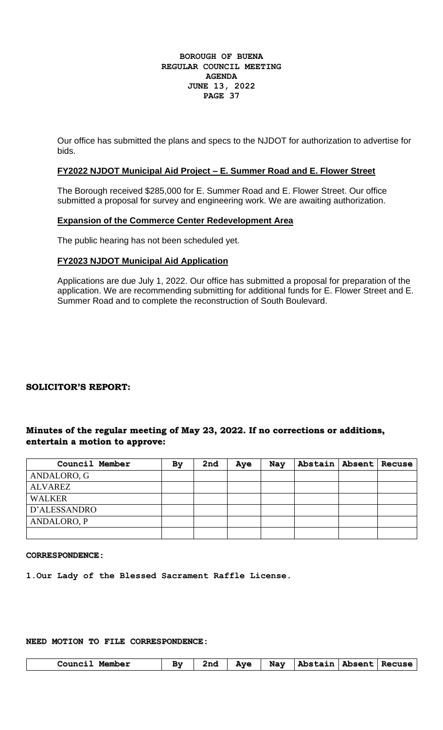Our office has submitted the plans and specs to the NJDOT for authorization to advertise for bids.

# **FY2022 NJDOT Municipal Aid Project – E. Summer Road and E. Flower Street**

The Borough received \$285,000 for E. Summer Road and E. Flower Street. Our office submitted a proposal for survey and engineering work. We are awaiting authorization.

## **Expansion of the Commerce Center Redevelopment Area**

The public hearing has not been scheduled yet.

# **FY2023 NJDOT Municipal Aid Application**

Applications are due July 1, 2022. Our office has submitted a proposal for preparation of the application. We are recommending submitting for additional funds for E. Flower Street and E. Summer Road and to complete the reconstruction of South Boulevard.

## **SOLICITOR'S REPORT:**

# **Minutes of the regular meeting of May 23, 2022. If no corrections or additions, entertain a motion to approve:**

| Council Member | By | 2nd | Aye | Nay | Abstain   Absent   Recuse |  |
|----------------|----|-----|-----|-----|---------------------------|--|
| ANDALORO, G    |    |     |     |     |                           |  |
| ALVAREZ        |    |     |     |     |                           |  |
| <b>WALKER</b>  |    |     |     |     |                           |  |
| D'ALESSANDRO   |    |     |     |     |                           |  |
| ANDALORO, P    |    |     |     |     |                           |  |
|                |    |     |     |     |                           |  |

#### **CORRESPONDENCE:**

**1.Our Lady of the Blessed Sacrament Raffle License.**

# **NEED MOTION TO FILE CORRESPONDENCE:**

| Council Member | By | 2nd | <b>Aye</b> | Nay   Abstain   Absent   Recuse |  |
|----------------|----|-----|------------|---------------------------------|--|